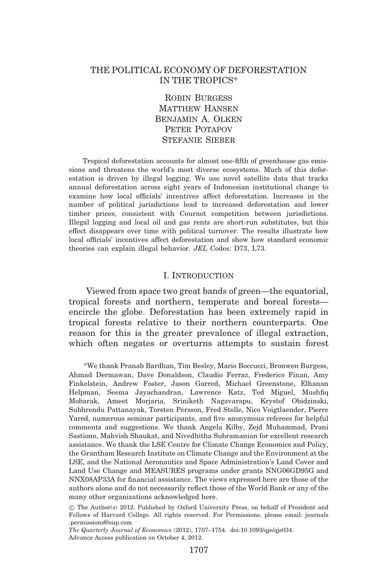# THE POLITICAL ECONOMY OF DEFORESTATION IN THE TROPICS\*

Robin Burgess Matthew Hansen Benjamin A. Olken PETER POTAPOV STEFANIE SIEBER

Tropical deforestation accounts for almost one-fifth of greenhouse gas emissions and threatens the world's most diverse ecosystems. Much of this deforestation is driven by illegal logging. We use novel satellite data that tracks annual deforestation across eight years of Indonesian institutional change to examine how local officials' incentives affect deforestation. Increases in the number of political jurisdictions lead to increased deforestation and lower timber prices, consistent with Cournot competition between jurisdictions. Illegal logging and local oil and gas rents are short-run substitutes, but this effect disappears over time with political turnover. The results illustrate how local officials' incentives affect deforestation and show how standard economic theories can explain illegal behavior. JEL Codes: D73, L73.

### I. INTRODUCTION

Viewed from space two great bands of green—the equatorial, tropical forests and northern, temperate and boreal forests encircle the globe. Deforestation has been extremely rapid in tropical forests relative to their northern counterparts. One reason for this is the greater prevalence of illegal extraction, which often negates or overturns attempts to sustain forest

\*We thank Pranab Bardhan, Tim Besley, Mario Boccucci, Bronwen Burgess, Ahmad Dermawan, Dave Donaldson, Claudio Ferraz, Frederico Finan, Amy Finkelstein, Andrew Foster, Jason Garred, Michael Greenstone, Elhanan Helpman, Seema Jayachandran, Lawrence Katz, Ted Miguel, Mushfiq Mobarak, Ameet Morjaria, Sriniketh Nagavarapu, Krystof Obidzinski, Subhrendu Pattanayak, Torsten Persson, Fred Stolle, Nico Voigtlaender, Pierre Yared, numerous seminar participants, and five anonymous referees for helpful comments and suggestions. We thank Angela Kilby, Zejd Muhammad, Prani Sastiono, Mahvish Shaukat, and Nivedhitha Subramanian for excellent research assistance. We thank the LSE Centre for Climate Change Economics and Policy, the Grantham Research Institute on Climate Change and the Environment at the LSE, and the National Aeronautics and Space Administration's Land Cover and Land Use Change and MEASURES programs under grants NNG06GD95G and NNX08AP33A for financial assistance. The views expressed here are those of the authors alone and do not necessarily reflect those of the World Bank or any of the many other organizations acknowledged here.

! The Author(s) 2012. Published by Oxford University Press, on behalf of President and Fellows of Harvard College. All rights reserved. For Permissions, please email: journals .permissions@oup.com

The Quarterly Journal of Economics (2012), 1707–1754. doi:10.1093/qje/qjs034. Advance Access publication on October 4, 2012.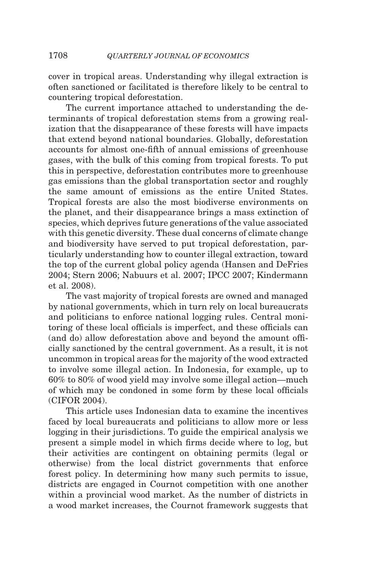cover in tropical areas. Understanding why illegal extraction is often sanctioned or facilitated is therefore likely to be central to countering tropical deforestation.

The current importance attached to understanding the determinants of tropical deforestation stems from a growing realization that the disappearance of these forests will have impacts that extend beyond national boundaries. Globally, deforestation accounts for almost one-fifth of annual emissions of greenhouse gases, with the bulk of this coming from tropical forests. To put this in perspective, deforestation contributes more to greenhouse gas emissions than the global transportation sector and roughly the same amount of emissions as the entire United States. Tropical forests are also the most biodiverse environments on the planet, and their disappearance brings a mass extinction of species, which deprives future generations of the value associated with this genetic diversity. These dual concerns of climate change and biodiversity have served to put tropical deforestation, particularly understanding how to counter illegal extraction, toward the top of the current global policy agenda ([Hansen and DeFries](#page-46-0) [2004](#page-46-0); [Stern 2006; Nabuurs et al. 2007;](#page-47-0) [IPCC 2007; Kindermann](#page-46-0) [et al. 2008\)](#page-46-0).

The vast majority of tropical forests are owned and managed by national governments, which in turn rely on local bureaucrats and politicians to enforce national logging rules. Central monitoring of these local officials is imperfect, and these officials can (and do) allow deforestation above and beyond the amount officially sanctioned by the central government. As a result, it is not uncommon in tropical areas for the majority of the wood extracted to involve some illegal action. In Indonesia, for example, up to 60% to 80% of wood yield may involve some illegal action—much of which may be condoned in some form by these local officials ([CIFOR 2004\)](#page-46-0).

This article uses Indonesian data to examine the incentives faced by local bureaucrats and politicians to allow more or less logging in their jurisdictions. To guide the empirical analysis we present a simple model in which firms decide where to log, but their activities are contingent on obtaining permits (legal or otherwise) from the local district governments that enforce forest policy. In determining how many such permits to issue, districts are engaged in Cournot competition with one another within a provincial wood market. As the number of districts in a wood market increases, the Cournot framework suggests that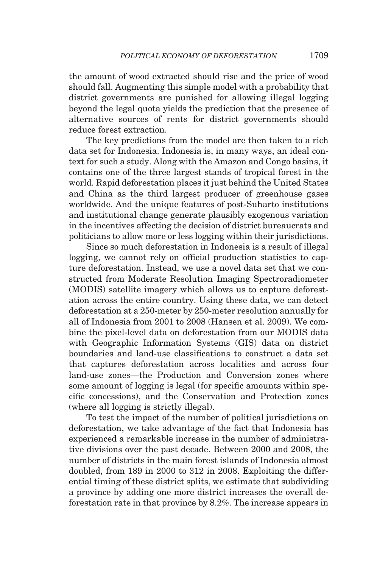the amount of wood extracted should rise and the price of wood should fall. Augmenting this simple model with a probability that district governments are punished for allowing illegal logging beyond the legal quota yields the prediction that the presence of alternative sources of rents for district governments should reduce forest extraction.

The key predictions from the model are then taken to a rich data set for Indonesia. Indonesia is, in many ways, an ideal context for such a study. Along with the Amazon and Congo basins, it contains one of the three largest stands of tropical forest in the world. Rapid deforestation places it just behind the United States and China as the third largest producer of greenhouse gases worldwide. And the unique features of post-Suharto institutions and institutional change generate plausibly exogenous variation in the incentives affecting the decision of district bureaucrats and politicians to allow more or less logging within their jurisdictions.

Since so much deforestation in Indonesia is a result of illegal logging, we cannot rely on official production statistics to capture deforestation. Instead, we use a novel data set that we constructed from Moderate Resolution Imaging Spectroradiometer (MODIS) satellite imagery which allows us to capture deforestation across the entire country. Using these data, we can detect deforestation at a 250-meter by 250-meter resolution annually for all of Indonesia from 2001 to 2008 [\(Hansen et al. 2009\)](#page-46-0). We combine the pixel-level data on deforestation from our MODIS data with Geographic Information Systems (GIS) data on district boundaries and land-use classifications to construct a data set that captures deforestation across localities and across four land-use zones—the Production and Conversion zones where some amount of logging is legal (for specific amounts within specific concessions), and the Conservation and Protection zones (where all logging is strictly illegal).

To test the impact of the number of political jurisdictions on deforestation, we take advantage of the fact that Indonesia has experienced a remarkable increase in the number of administrative divisions over the past decade. Between 2000 and 2008, the number of districts in the main forest islands of Indonesia almost doubled, from 189 in 2000 to 312 in 2008. Exploiting the differential timing of these district splits, we estimate that subdividing a province by adding one more district increases the overall deforestation rate in that province by 8.2%. The increase appears in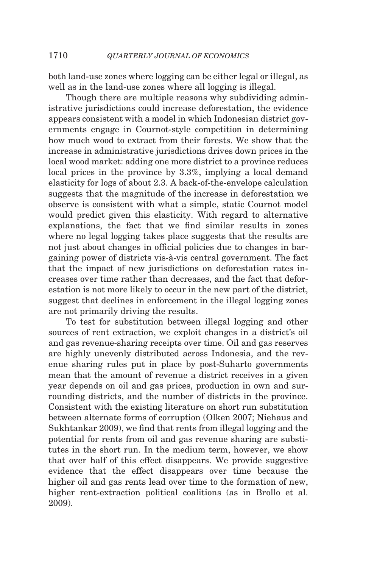both land-use zones where logging can be either legal or illegal, as well as in the land-use zones where all logging is illegal.

Though there are multiple reasons why subdividing administrative jurisdictions could increase deforestation, the evidence appears consistent with a model in which Indonesian district governments engage in Cournot-style competition in determining how much wood to extract from their forests. We show that the increase in administrative jurisdictions drives down prices in the local wood market: adding one more district to a province reduces local prices in the province by 3.3%, implying a local demand elasticity for logs of about 2.3. A back-of-the-envelope calculation suggests that the magnitude of the increase in deforestation we observe is consistent with what a simple, static Cournot model would predict given this elasticity. With regard to alternative explanations, the fact that we find similar results in zones where no legal logging takes place suggests that the results are not just about changes in official policies due to changes in bargaining power of districts vis-a`-vis central government. The fact that the impact of new jurisdictions on deforestation rates increases over time rather than decreases, and the fact that deforestation is not more likely to occur in the new part of the district, suggest that declines in enforcement in the illegal logging zones are not primarily driving the results.

To test for substitution between illegal logging and other sources of rent extraction, we exploit changes in a district's oil and gas revenue-sharing receipts over time. Oil and gas reserves are highly unevenly distributed across Indonesia, and the revenue sharing rules put in place by post-Suharto governments mean that the amount of revenue a district receives in a given year depends on oil and gas prices, production in own and surrounding districts, and the number of districts in the province. Consistent with the existing literature on short run substitution between alternate forms of corruption ([Olken 2007](#page-47-0); [Niehaus and](#page-47-0) [Sukhtankar 2009](#page-47-0)), we find that rents from illegal logging and the potential for rents from oil and gas revenue sharing are substitutes in the short run. In the medium term, however, we show that over half of this effect disappears. We provide suggestive evidence that the effect disappears over time because the higher oil and gas rents lead over time to the formation of new, higher rent-extraction political coalitions (as in [Brollo et al.](#page-46-0) [2009](#page-46-0)).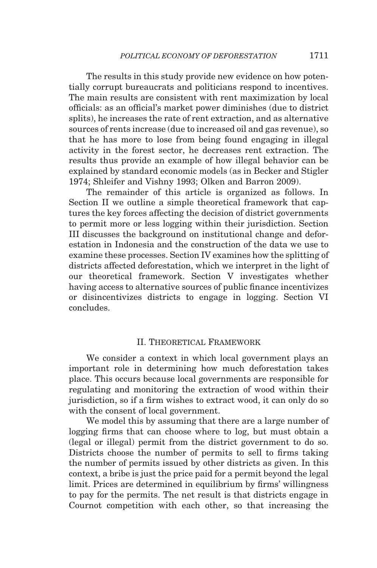The results in this study provide new evidence on how potentially corrupt bureaucrats and politicians respond to incentives. The main results are consistent with rent maximization by local officials: as an official's market power diminishes (due to district splits), he increases the rate of rent extraction, and as alternative sources of rents increase (due to increased oil and gas revenue), so that he has more to lose from being found engaging in illegal activity in the forest sector, he decreases rent extraction. The results thus provide an example of how illegal behavior can be explained by standard economic models (as in [Becker and Stigler](#page-46-0) [1974;](#page-46-0) [Shleifer and Vishny 1993; Olken and Barron 2009](#page-47-0)).

The remainder of this article is organized as follows. In Section II we outline a simple theoretical framework that captures the key forces affecting the decision of district governments to permit more or less logging within their jurisdiction. Section III discusses the background on institutional change and deforestation in Indonesia and the construction of the data we use to examine these processes. Section IV examines how the splitting of districts affected deforestation, which we interpret in the light of our theoretical framework. Section V investigates whether having access to alternative sources of public finance incentivizes or disincentivizes districts to engage in logging. Section VI concludes.

# II. Theoretical Framework

We consider a context in which local government plays an important role in determining how much deforestation takes place. This occurs because local governments are responsible for regulating and monitoring the extraction of wood within their jurisdiction, so if a firm wishes to extract wood, it can only do so with the consent of local government.

We model this by assuming that there are a large number of logging firms that can choose where to log, but must obtain a (legal or illegal) permit from the district government to do so. Districts choose the number of permits to sell to firms taking the number of permits issued by other districts as given. In this context, a bribe is just the price paid for a permit beyond the legal limit. Prices are determined in equilibrium by firms' willingness to pay for the permits. The net result is that districts engage in Cournot competition with each other, so that increasing the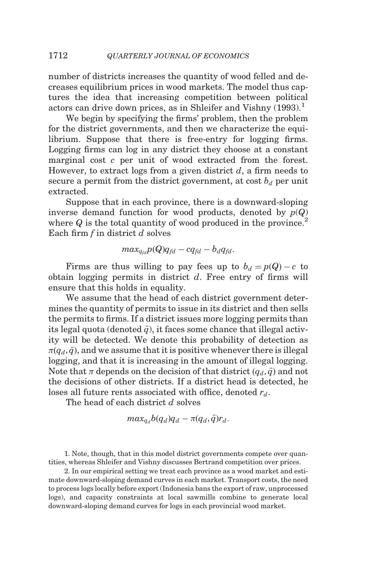number of districts increases the quantity of wood felled and decreases equilibrium prices in wood markets. The model thus captures the idea that increasing competition between political actors can drive down prices, as in Shleifer and Vishny  $(1993).$ <sup>1</sup>

We begin by specifying the firms' problem, then the problem for the district governments, and then we characterize the equilibrium. Suppose that there is free-entry for logging firms. Logging firms can log in any district they choose at a constant marginal cost c per unit of wood extracted from the forest. However, to extract logs from a given district  $d$ , a firm needs to secure a permit from the district government, at cost  $b_d$  per unit extracted.

Suppose that in each province, there is a downward-sloping inverse demand function for wood products, denoted by  $p(Q)$ where  $Q$  is the total quantity of wood produced in the province.<sup>2</sup> Each firm  $f$  in district  $d$  solves

$$
max_{q_{fd}} p(Q)q_{fd} - cq_{fd} - b_d q_{fd}.
$$

Firms are thus willing to pay fees up to  $b_d = p(Q) - c$  to obtain logging permits in district  $d$ . Free entry of firms will ensure that this holds in equality.

We assume that the head of each district government determines the quantity of permits to issue in its district and then sells the permits to firms. If a district issues more logging permits than its legal quota (denoted  $\bar{q}$ ), it faces some chance that illegal activity will be detected. We denote this probability of detection as  $\pi(q_d,\bar{q})$ , and we assume that it is positive whenever there is illegal logging, and that it is increasing in the amount of illegal logging. Note that  $\pi$  depends on the decision of that district  $(q_d, \bar{q})$  and not the decisions of other districts. If a district head is detected, he loses all future rents associated with office, denoted  $r_d$ .

The head of each district  $d$  solves

$$
max_{q_d}b(q_d)q_d - \pi(q_d, \bar{q})r_d.
$$

1. Note, though, that in this model district governments compete over quantities, whereas Shleifer and Vishny discusses Bertrand competition over prices.

2. In our empirical setting we treat each province as a wood market and estimate downward-sloping demand curves in each market. Transport costs, the need to process logs locally before export (Indonesia bans the export of raw, unprocessed logs), and capacity constraints at local sawmills combine to generate local downward-sloping demand curves for logs in each provincial wood market.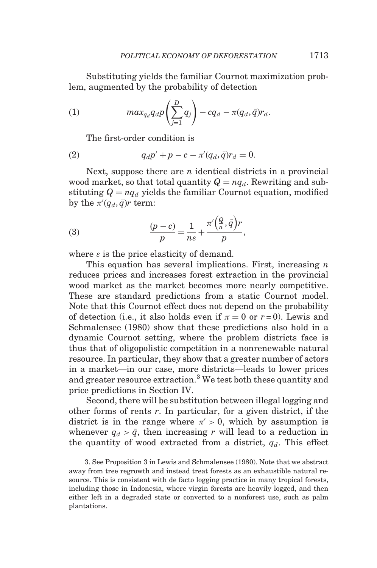<span id="page-6-0"></span>Substituting yields the familiar Cournot maximization problem, augmented by the probability of detection

(1) 
$$
max_{q_d}q_{d}p\left(\sum_{j=1}^{D}q_j\right)-cq_d-\pi(q_d,\bar{q})r_d.
$$

The first-order condition is

(2) 
$$
q_d p' + p - c - \pi'(q_d, \bar{q}) r_d = 0.
$$

Next, suppose there are  $n$  identical districts in a provincial wood market, so that total quantity  $Q = nq_d$ . Rewriting and substituting  $Q = nq_d$  yields the familiar Cournot equation, modified by the  $\pi'(q_d, \bar{q})r$  term:

(3) 
$$
\frac{(p-c)}{p} = \frac{1}{n\varepsilon} + \frac{\pi'\left(\frac{Q}{n}, \bar{q}\right)r}{p},
$$

where  $\varepsilon$  is the price elasticity of demand.

This equation has several implications. First, increasing  $n$ reduces prices and increases forest extraction in the provincial wood market as the market becomes more nearly competitive. These are standard predictions from a static Cournot model. Note that this Cournot effect does not depend on the probability of detection (i.e., it also holds even if  $\pi = 0$  or  $r = 0$ ). [Lewis and](#page-47-0) [Schmalensee \(1980\)](#page-47-0) show that these predictions also hold in a dynamic Cournot setting, where the problem districts face is thus that of oligopolistic competition in a nonrenewable natural resource. In particular, they show that a greater number of actors in a market—in our case, more districts—leads to lower prices and greater resource extraction.<sup>3</sup> We test both these quantity and price predictions in Section IV.

Second, there will be substitution between illegal logging and other forms of rents  $r$ . In particular, for a given district, if the district is in the range where  $\pi' > 0$ , which by assumption is whenever  $q_d > \bar{q}$ , then increasing r will lead to a reduction in the quantity of wood extracted from a district,  $q_d$ . This effect

3. See Proposition 3 in [Lewis and Schmalensee \(1980\)](#page-47-0). Note that we abstract away from tree regrowth and instead treat forests as an exhaustible natural resource. This is consistent with de facto logging practice in many tropical forests, including those in Indonesia, where virgin forests are heavily logged, and then either left in a degraded state or converted to a nonforest use, such as palm plantations.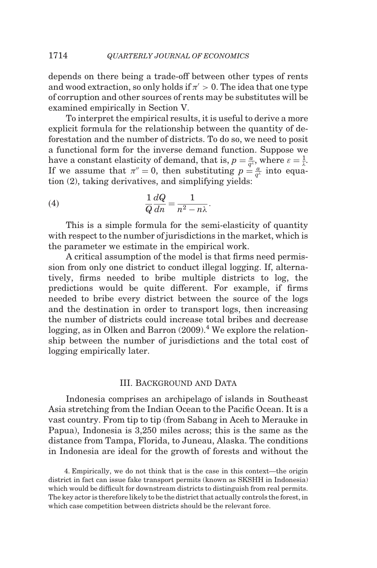depends on there being a trade-off between other types of rents and wood extraction, so only holds if  $\pi' > 0.$  The idea that one type of corruption and other sources of rents may be substitutes will be examined empirically in Section V.

To interpret the empirical results, it is useful to derive a more explicit formula for the relationship between the quantity of deforestation and the number of districts. To do so, we need to posit a functional form for the inverse demand function. Suppose we have a constant elasticity of demand, that is,  $p = \frac{a}{q^{\lambda}}$ , where  $\varepsilon = \frac{1}{\lambda}$ . If we assume that  $\pi'' = 0$ , then substituting  $p = \frac{a}{q}$  into [equa](#page-6-0)[tion \(2\),](#page-6-0) taking derivatives, and simplifying yields:

(4) 
$$
\frac{1}{Q}\frac{dQ}{dn} = \frac{1}{n^2 - n\lambda}.
$$

This is a simple formula for the semi-elasticity of quantity with respect to the number of jurisdictions in the market, which is the parameter we estimate in the empirical work.

A critical assumption of the model is that firms need permission from only one district to conduct illegal logging. If, alternatively, firms needed to bribe multiple districts to log, the predictions would be quite different. For example, if firms needed to bribe every district between the source of the logs and the destination in order to transport logs, then increasing the number of districts could increase total bribes and decrease logging, as in Olken and Barron  $(2009)^4$ . We explore the relationship between the number of jurisdictions and the total cost of logging empirically later.

# III. Background and Data

Indonesia comprises an archipelago of islands in Southeast Asia stretching from the Indian Ocean to the Pacific Ocean. It is a vast country. From tip to tip (from Sabang in Aceh to Merauke in Papua), Indonesia is 3,250 miles across; this is the same as the distance from Tampa, Florida, to Juneau, Alaska. The conditions in Indonesia are ideal for the growth of forests and without the

4. Empirically, we do not think that is the case in this context—the origin district in fact can issue fake transport permits (known as SKSHH in Indonesia) which would be difficult for downstream districts to distinguish from real permits. The key actor is therefore likely to be the district that actually controls the forest, in which case competition between districts should be the relevant force.

<span id="page-7-0"></span>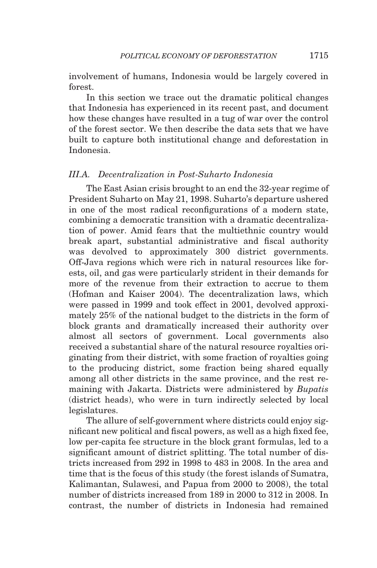involvement of humans, Indonesia would be largely covered in forest.

In this section we trace out the dramatic political changes that Indonesia has experienced in its recent past, and document how these changes have resulted in a tug of war over the control of the forest sector. We then describe the data sets that we have built to capture both institutional change and deforestation in Indonesia.

# III.A. Decentralization in Post-Suharto Indonesia

The East Asian crisis brought to an end the 32-year regime of President Suharto on May 21, 1998. Suharto's departure ushered in one of the most radical reconfigurations of a modern state, combining a democratic transition with a dramatic decentralization of power. Amid fears that the multiethnic country would break apart, substantial administrative and fiscal authority was devolved to approximately 300 district governments. Off-Java regions which were rich in natural resources like forests, oil, and gas were particularly strident in their demands for more of the revenue from their extraction to accrue to them [\(Hofman and Kaiser 2004\)](#page-46-0). The decentralization laws, which were passed in 1999 and took effect in 2001, devolved approximately 25% of the national budget to the districts in the form of block grants and dramatically increased their authority over almost all sectors of government. Local governments also received a substantial share of the natural resource royalties originating from their district, with some fraction of royalties going to the producing district, some fraction being shared equally among all other districts in the same province, and the rest remaining with Jakarta. Districts were administered by Bupatis (district heads), who were in turn indirectly selected by local legislatures.

The allure of self-government where districts could enjoy significant new political and fiscal powers, as well as a high fixed fee, low per-capita fee structure in the block grant formulas, led to a significant amount of district splitting. The total number of districts increased from 292 in 1998 to 483 in 2008. In the area and time that is the focus of this study (the forest islands of Sumatra, Kalimantan, Sulawesi, and Papua from 2000 to 2008), the total number of districts increased from 189 in 2000 to 312 in 2008. In contrast, the number of districts in Indonesia had remained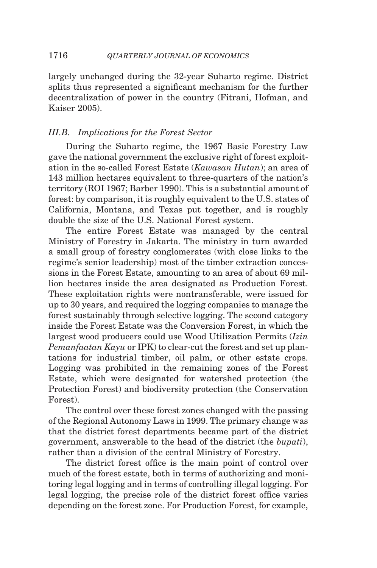largely unchanged during the 32-year Suharto regime. District splits thus represented a significant mechanism for the further decentralization of power in the country ([Fitrani, Hofman, and](#page-46-0) [Kaiser 2005\)](#page-46-0).

# III.B. Implications for the Forest Sector

During the Suharto regime, the 1967 Basic Forestry Law gave the national government the exclusive right of forest exploitation in the so-called Forest Estate (Kawasan Hutan); an area of 143 million hectares equivalent to three-quarters of the nation's territory [\(ROI 1967](#page-47-0); [Barber 1990](#page-45-0)). This is a substantial amount of forest: by comparison, it is roughly equivalent to the U.S. states of California, Montana, and Texas put together, and is roughly double the size of the U.S. National Forest system.

The entire Forest Estate was managed by the central Ministry of Forestry in Jakarta. The ministry in turn awarded a small group of forestry conglomerates (with close links to the regime's senior leadership) most of the timber extraction concessions in the Forest Estate, amounting to an area of about 69 million hectares inside the area designated as Production Forest. These exploitation rights were nontransferable, were issued for up to 30 years, and required the logging companies to manage the forest sustainably through selective logging. The second category inside the Forest Estate was the Conversion Forest, in which the largest wood producers could use Wood Utilization Permits (Izin Pemanfaatan Kayu or IPK) to clear-cut the forest and set up plantations for industrial timber, oil palm, or other estate crops. Logging was prohibited in the remaining zones of the Forest Estate, which were designated for watershed protection (the Protection Forest) and biodiversity protection (the Conservation Forest).

The control over these forest zones changed with the passing of the Regional Autonomy Laws in 1999. The primary change was that the district forest departments became part of the district government, answerable to the head of the district (the bupati), rather than a division of the central Ministry of Forestry.

The district forest office is the main point of control over much of the forest estate, both in terms of authorizing and monitoring legal logging and in terms of controlling illegal logging. For legal logging, the precise role of the district forest office varies depending on the forest zone. For Production Forest, for example,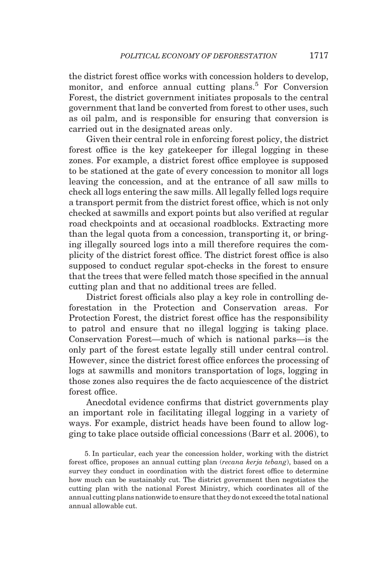the district forest office works with concession holders to develop, monitor, and enforce annual cutting plans.<sup>5</sup> For Conversion Forest, the district government initiates proposals to the central government that land be converted from forest to other uses, such as oil palm, and is responsible for ensuring that conversion is carried out in the designated areas only.

Given their central role in enforcing forest policy, the district forest office is the key gatekeeper for illegal logging in these zones. For example, a district forest office employee is supposed to be stationed at the gate of every concession to monitor all logs leaving the concession, and at the entrance of all saw mills to check all logs entering the saw mills. All legally felled logs require a transport permit from the district forest office, which is not only checked at sawmills and export points but also verified at regular road checkpoints and at occasional roadblocks. Extracting more than the legal quota from a concession, transporting it, or bringing illegally sourced logs into a mill therefore requires the complicity of the district forest office. The district forest office is also supposed to conduct regular spot-checks in the forest to ensure that the trees that were felled match those specified in the annual cutting plan and that no additional trees are felled.

District forest officials also play a key role in controlling deforestation in the Protection and Conservation areas. For Protection Forest, the district forest office has the responsibility to patrol and ensure that no illegal logging is taking place. Conservation Forest—much of which is national parks—is the only part of the forest estate legally still under central control. However, since the district forest office enforces the processing of logs at sawmills and monitors transportation of logs, logging in those zones also requires the de facto acquiescence of the district forest office.

Anecdotal evidence confirms that district governments play an important role in facilitating illegal logging in a variety of ways. For example, district heads have been found to allow logging to take place outside official concessions ([Barr et al. 2006](#page-45-0)), to

5. In particular, each year the concession holder, working with the district forest office, proposes an annual cutting plan (recana kerja tebang), based on a survey they conduct in coordination with the district forest office to determine how much can be sustainably cut. The district government then negotiates the cutting plan with the national Forest Ministry, which coordinates all of the annual cutting plans nationwide to ensure that they do not exceed the total national annual allowable cut.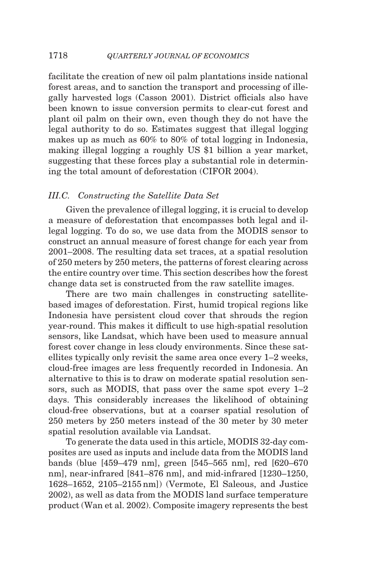facilitate the creation of new oil palm plantations inside national forest areas, and to sanction the transport and processing of illegally harvested logs [\(Casson 2001\)](#page-46-0). District officials also have been known to issue conversion permits to clear-cut forest and plant oil palm on their own, even though they do not have the legal authority to do so. Estimates suggest that illegal logging makes up as much as 60% to 80% of total logging in Indonesia, making illegal logging a roughly US \$1 billion a year market, suggesting that these forces play a substantial role in determining the total amount of deforestation ([CIFOR 2004](#page-46-0)).

# III.C. Constructing the Satellite Data Set

Given the prevalence of illegal logging, it is crucial to develop a measure of deforestation that encompasses both legal and illegal logging. To do so, we use data from the MODIS sensor to construct an annual measure of forest change for each year from 2001–2008. The resulting data set traces, at a spatial resolution of 250 meters by 250 meters, the patterns of forest clearing across the entire country over time. This section describes how the forest change data set is constructed from the raw satellite images.

There are two main challenges in constructing satellitebased images of deforestation. First, humid tropical regions like Indonesia have persistent cloud cover that shrouds the region year-round. This makes it difficult to use high-spatial resolution sensors, like Landsat, which have been used to measure annual forest cover change in less cloudy environments. Since these satellites typically only revisit the same area once every 1–2 weeks, cloud-free images are less frequently recorded in Indonesia. An alternative to this is to draw on moderate spatial resolution sensors, such as MODIS, that pass over the same spot every 1–2 days. This considerably increases the likelihood of obtaining cloud-free observations, but at a coarser spatial resolution of 250 meters by 250 meters instead of the 30 meter by 30 meter spatial resolution available via Landsat.

To generate the data used in this article, MODIS 32-day composites are used as inputs and include data from the MODIS land bands (blue [459–479 nm], green [545–565 nm], red [620–670 nm], near-infrared [841–876 nm], and mid-infrared [1230–1250, 1628–1652, 2105–2155 nm]) [\(Vermote, El Saleous, and Justice](#page-47-0) [2002](#page-47-0)), as well as data from the MODIS land surface temperature product [\(Wan et al. 2002\)](#page-47-0). Composite imagery represents the best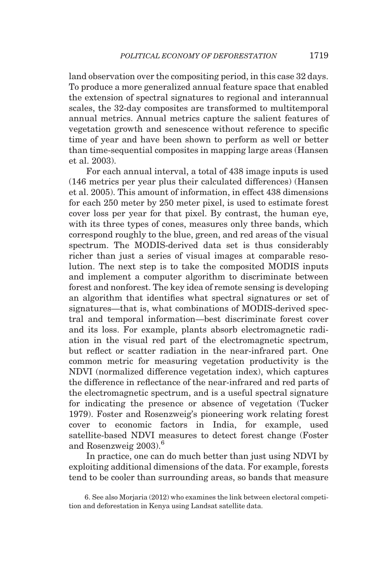land observation over the compositing period, in this case 32 days. To produce a more generalized annual feature space that enabled the extension of spectral signatures to regional and interannual scales, the 32-day composites are transformed to multitemporal annual metrics. Annual metrics capture the salient features of vegetation growth and senescence without reference to specific time of year and have been shown to perform as well or better than time-sequential composites in mapping large areas ([Hansen](#page-46-0) [et al. 2003\)](#page-46-0).

For each annual interval, a total of 438 image inputs is used (146 metrics per year plus their calculated differences) ([Hansen](#page-46-0) [et al. 2005\)](#page-46-0). This amount of information, in effect 438 dimensions for each 250 meter by 250 meter pixel, is used to estimate forest cover loss per year for that pixel. By contrast, the human eye, with its three types of cones, measures only three bands, which correspond roughly to the blue, green, and red areas of the visual spectrum. The MODIS-derived data set is thus considerably richer than just a series of visual images at comparable resolution. The next step is to take the composited MODIS inputs and implement a computer algorithm to discriminate between forest and nonforest. The key idea of remote sensing is developing an algorithm that identifies what spectral signatures or set of signatures—that is, what combinations of MODIS-derived spectral and temporal information—best discriminate forest cover and its loss. For example, plants absorb electromagnetic radiation in the visual red part of the electromagnetic spectrum, but reflect or scatter radiation in the near-infrared part. One common metric for measuring vegetation productivity is the NDVI (normalized difference vegetation index), which captures the difference in reflectance of the near-infrared and red parts of the electromagnetic spectrum, and is a useful spectral signature for indicating the presence or absence of vegetation ([Tucker](#page-47-0) [1979\)](#page-47-0). Foster and Rosenzweig's pioneering work relating forest cover to economic factors in India, for example, used satellite-based NDVI measures to detect forest change [\(Foster](#page-46-0) [and Rosenzweig 2003\)](#page-46-0).<sup>6</sup>

In practice, one can do much better than just using NDVI by exploiting additional dimensions of the data. For example, forests tend to be cooler than surrounding areas, so bands that measure

<sup>6.</sup> See also [Morjaria \(2012\)](#page-47-0) who examines the link between electoral competition and deforestation in Kenya using Landsat satellite data.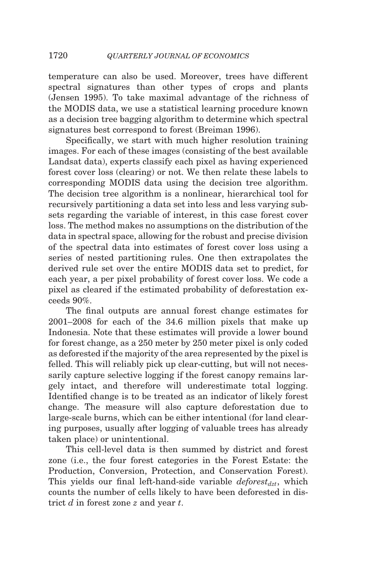temperature can also be used. Moreover, trees have different spectral signatures than other types of crops and plants ([Jensen 1995\)](#page-46-0). To take maximal advantage of the richness of the MODIS data, we use a statistical learning procedure known as a decision tree bagging algorithm to determine which spectral signatures best correspond to forest ([Breiman 1996\)](#page-46-0).

Specifically, we start with much higher resolution training images. For each of these images (consisting of the best available Landsat data), experts classify each pixel as having experienced forest cover loss (clearing) or not. We then relate these labels to corresponding MODIS data using the decision tree algorithm. The decision tree algorithm is a nonlinear, hierarchical tool for recursively partitioning a data set into less and less varying subsets regarding the variable of interest, in this case forest cover loss. The method makes no assumptions on the distribution of the data in spectral space, allowing for the robust and precise division of the spectral data into estimates of forest cover loss using a series of nested partitioning rules. One then extrapolates the derived rule set over the entire MODIS data set to predict, for each year, a per pixel probability of forest cover loss. We code a pixel as cleared if the estimated probability of deforestation exceeds 90%.

The final outputs are annual forest change estimates for 2001–2008 for each of the 34.6 million pixels that make up Indonesia. Note that these estimates will provide a lower bound for forest change, as a 250 meter by 250 meter pixel is only coded as deforested if the majority of the area represented by the pixel is felled. This will reliably pick up clear-cutting, but will not necessarily capture selective logging if the forest canopy remains largely intact, and therefore will underestimate total logging. Identified change is to be treated as an indicator of likely forest change. The measure will also capture deforestation due to large-scale burns, which can be either intentional (for land clearing purposes, usually after logging of valuable trees has already taken place) or unintentional.

This cell-level data is then summed by district and forest zone (i.e., the four forest categories in the Forest Estate: the Production, Conversion, Protection, and Conservation Forest). This yields our final left-hand-side variable  $deforest_{dx}$ , which counts the number of cells likely to have been deforested in district  $d$  in forest zone  $z$  and year  $t$ .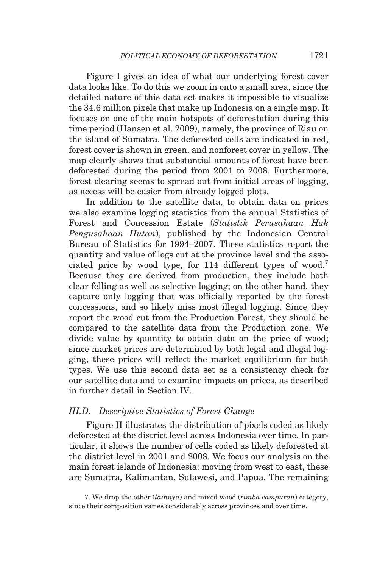[Figure I](#page-15-0) gives an idea of what our underlying forest cover data looks like. To do this we zoom in onto a small area, since the detailed nature of this data set makes it impossible to visualize the 34.6 million pixels that make up Indonesia on a single map. It focuses on one of the main hotspots of deforestation during this time period ([Hansen et al. 2009](#page-46-0)), namely, the province of Riau on the island of Sumatra. The deforested cells are indicated in red, forest cover is shown in green, and nonforest cover in yellow. The map clearly shows that substantial amounts of forest have been deforested during the period from 2001 to 2008. Furthermore, forest clearing seems to spread out from initial areas of logging, as access will be easier from already logged plots.

In addition to the satellite data, to obtain data on prices we also examine logging statistics from the annual Statistics of Forest and Concession Estate (Statistik Perusahaan Hak Pengusahaan Hutan), published by the Indonesian Central Bureau of Statistics for 1994–2007. These statistics report the quantity and value of logs cut at the province level and the associated price by wood type, for 114 different types of wood.<sup>7</sup> Because they are derived from production, they include both clear felling as well as selective logging; on the other hand, they capture only logging that was officially reported by the forest concessions, and so likely miss most illegal logging. Since they report the wood cut from the Production Forest, they should be compared to the satellite data from the Production zone. We divide value by quantity to obtain data on the price of wood; since market prices are determined by both legal and illegal logging, these prices will reflect the market equilibrium for both types. We use this second data set as a consistency check for our satellite data and to examine impacts on prices, as described in further detail in Section IV.

# III.D. Descriptive Statistics of Forest Change

[Figure II](#page-16-0) illustrates the distribution of pixels coded as likely deforested at the district level across Indonesia over time. In particular, it shows the number of cells coded as likely deforested at the district level in 2001 and 2008. We focus our analysis on the main forest islands of Indonesia: moving from west to east, these are Sumatra, Kalimantan, Sulawesi, and Papua. The remaining

7. We drop the other (lainnya) and mixed wood (rimba campuran) category, since their composition varies considerably across provinces and over time.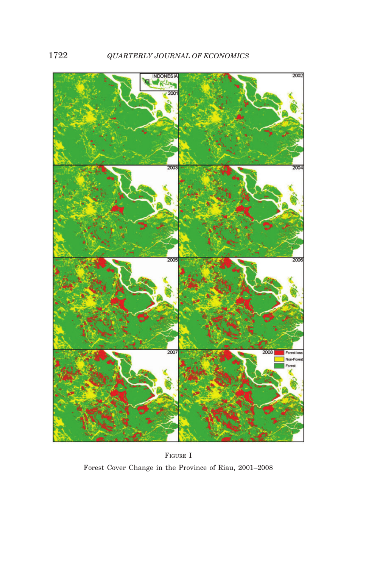<span id="page-15-0"></span>

FIGURE I Forest Cover Change in the Province of Riau, 2001–2008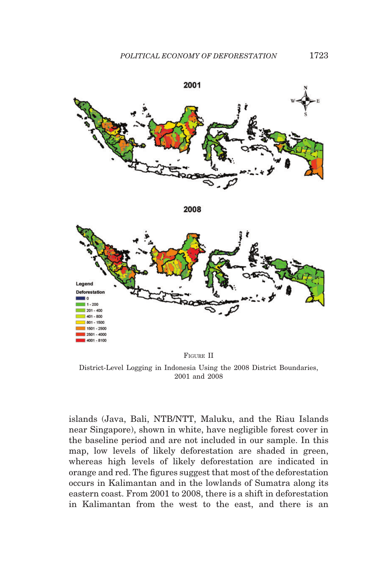<span id="page-16-0"></span>





FIGURE II

District-Level Logging in Indonesia Using the 2008 District Boundaries, 2001 and 2008

islands (Java, Bali, NTB/NTT, Maluku, and the Riau Islands near Singapore), shown in white, have negligible forest cover in the baseline period and are not included in our sample. In this map, low levels of likely deforestation are shaded in green, whereas high levels of likely deforestation are indicated in orange and red. The figures suggest that most of the deforestation occurs in Kalimantan and in the lowlands of Sumatra along its eastern coast. From 2001 to 2008, there is a shift in deforestation in Kalimantan from the west to the east, and there is an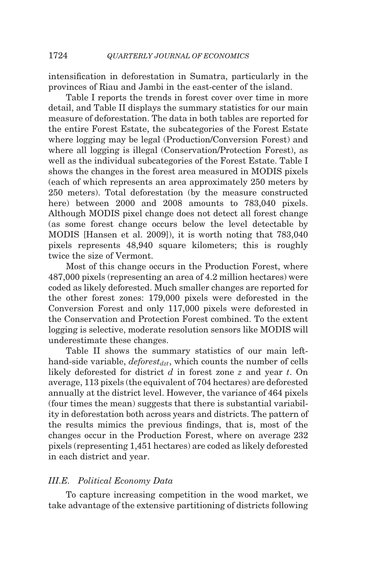intensification in deforestation in Sumatra, particularly in the provinces of Riau and Jambi in the east-center of the island.

[Table I](#page-18-0) reports the trends in forest cover over time in more detail, and [Table II](#page-19-0) displays the summary statistics for our main measure of deforestation. The data in both tables are reported for the entire Forest Estate, the subcategories of the Forest Estate where logging may be legal (Production/Conversion Forest) and where all logging is illegal (Conservation/Protection Forest), as well as the individual subcategories of the Forest Estate. [Table I](#page-18-0) shows the changes in the forest area measured in MODIS pixels (each of which represents an area approximately 250 meters by 250 meters). Total deforestation (by the measure constructed here) between 2000 and 2008 amounts to 783,040 pixels. Although MODIS pixel change does not detect all forest change (as some forest change occurs below the level detectable by MODIS [\[Hansen et al. 2009\]](#page-46-0)), it is worth noting that 783,040 pixels represents 48,940 square kilometers; this is roughly twice the size of Vermont.

Most of this change occurs in the Production Forest, where 487,000 pixels (representing an area of 4.2 million hectares) were coded as likely deforested. Much smaller changes are reported for the other forest zones: 179,000 pixels were deforested in the Conversion Forest and only 117,000 pixels were deforested in the Conservation and Protection Forest combined. To the extent logging is selective, moderate resolution sensors like MODIS will underestimate these changes.

[Table II](#page-19-0) shows the summary statistics of our main lefthand-side variable,  $deforest_{dzt}$ , which counts the number of cells likely deforested for district d in forest zone z and year t. On average, 113 pixels (the equivalent of 704 hectares) are deforested annually at the district level. However, the variance of 464 pixels (four times the mean) suggests that there is substantial variability in deforestation both across years and districts. The pattern of the results mimics the previous findings, that is, most of the changes occur in the Production Forest, where on average 232 pixels (representing 1,451 hectares) are coded as likely deforested in each district and year.

# III.E. Political Economy Data

To capture increasing competition in the wood market, we take advantage of the extensive partitioning of districts following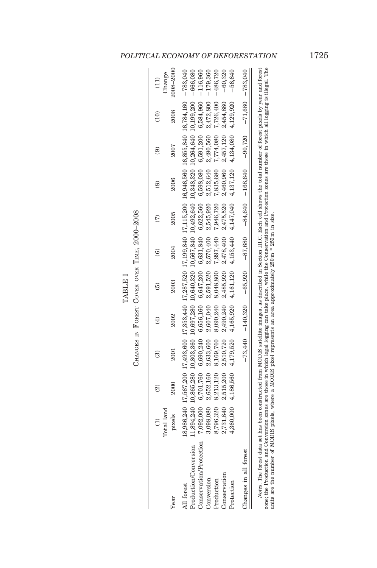|                                                                                                                                                                                                                                                                                                                                                                                                                                                                                                |                      | $\widetilde{\mathbf{e}}$                                                                                                                     | ణ         |           | G         | E                                                                       |           | $\infty$  | ၜ         | $\widehat{\Xi}$     |                     |
|------------------------------------------------------------------------------------------------------------------------------------------------------------------------------------------------------------------------------------------------------------------------------------------------------------------------------------------------------------------------------------------------------------------------------------------------------------------------------------------------|----------------------|----------------------------------------------------------------------------------------------------------------------------------------------|-----------|-----------|-----------|-------------------------------------------------------------------------|-----------|-----------|-----------|---------------------|---------------------|
| Year                                                                                                                                                                                                                                                                                                                                                                                                                                                                                           | Total land<br>pixels | 2000                                                                                                                                         | 2001      | 2002      | 2003      | 2004                                                                    | 2005      | 2006      | 2007      | 2008                | 2008-2000<br>Change |
| All forest                                                                                                                                                                                                                                                                                                                                                                                                                                                                                     |                      | $18.986.240$ $17.567.200$ $17.493.600$ $17.353.440$ $17.287.520$ $17.199.840$ $17.115.200$ $16.946.560$ $16.855.840$ $16.784.160$ $-783.040$ |           |           |           |                                                                         |           |           |           |                     |                     |
| Production/Conversion                                                                                                                                                                                                                                                                                                                                                                                                                                                                          |                      | 11,894,240 10,865,280 10,803,360 10,697,280 10,640,320 10,567,840 10,492,640 10,348,320 10,264,640 10,199,200                                |           |           |           |                                                                         |           |           |           |                     | $-666,080$          |
| Conservation/Protection                                                                                                                                                                                                                                                                                                                                                                                                                                                                        | 7,092,000            | 6,701,760                                                                                                                                    | 6,690,240 | 6,656,160 | 6,647,200 | 6,631,840                                                               | 6,622,560 | 6,598,080 | 6,591,200 | 6,584,960           | $-116,960$          |
| Conversion                                                                                                                                                                                                                                                                                                                                                                                                                                                                                     | 3,098,080            | 2,652,160                                                                                                                                    | 2,633,600 | 2,607,040 | 2,591,520 | 2,570,400                                                               | 2,545,920 | 2,512,640 | 2,490,560 | 2,472,800           | $-179,360$          |
| Production                                                                                                                                                                                                                                                                                                                                                                                                                                                                                     | 8,796,320            | 8,213,120                                                                                                                                    | 8,169,760 | 8,090,240 | 8,048,800 | 7,997,440                                                               | 7,946,720 | 7,835,680 | 7,774,080 | 7,726,400           | $-486.720$          |
| Conservation                                                                                                                                                                                                                                                                                                                                                                                                                                                                                   | 2,731,840            | 2,515,200                                                                                                                                    | 2,510,720 | 2,490,240 | 2,485,920 | 2,478,400                                                               | 2,475,520 | 2,460,960 | 2,457,120 | 2,454,880           | $-60,320$           |
| Protection                                                                                                                                                                                                                                                                                                                                                                                                                                                                                     | 4,360,000            | 4,186,560                                                                                                                                    | 4,179,520 | 4,165,920 | 4,161,120 | 4,153,440                                                               | 4,147,040 | 4,137,120 | 4,134,080 | 4,129,920           | $-56,640$           |
| Changes in all forest                                                                                                                                                                                                                                                                                                                                                                                                                                                                          |                      |                                                                                                                                              |           |           |           | $-73,440$ $-140,320$ $-65,920$ $-87,680$ $-84,640$ $-168,640$ $-90,720$ |           |           |           | $-71.680 - 783.040$ |                     |
| zone; the Production and Conversion zones are those in which legal logging can take place, while the Conservation and Protection zones are those in which all logging is illegal. The<br>Notes. The forest data set has been constructed from MODIS satellite images, as described in Section III.C. Each cell shows the total number of forest pixels by year and forest<br>units are the number of MODIS pixels, where a MODIS pixel represents an area approximately 250 m * 250 m in size. |                      |                                                                                                                                              |           |           |           |                                                                         |           |           |           |                     |                     |

# CHANGES IN FOREST COVER OVER TIME, 2000-2008 TIME, 2000–2008 COVER OVER TABLE I TABLE I

CHANGES IN

<span id="page-18-0"></span>POLITICAL ECONOMY OF DEFORESTATION 1725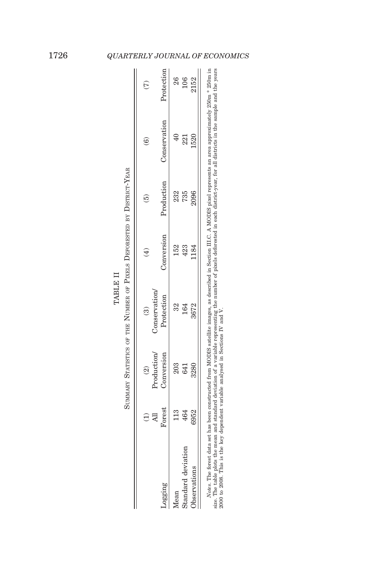|                    |        |            |              |            | ١o         | ق            |            |
|--------------------|--------|------------|--------------|------------|------------|--------------|------------|
|                    |        | Production | Conservation |            |            |              |            |
| Logging            | Forest | Conversion | Protection   | Conversion | Production | Conservation | Protection |
| Mean               |        | 203        |              | 152        | 232        |              |            |
| Standard deviation | 464    | 641        | 164          | 423        | 735        | 221          | 106        |
|                    | 6952   | 3280       | 3672         | 1184       | 2096       | 1520         | 2152       |

TABLE II

TABLE II

*Notes.* The forest data set has been constructed from MODIS satellite images, as described in Section III.C. A MODIS pixel represents an area approximately 250m \* 250m. in size. The table plots the mean and standard devia Notes. The forest data set has been constructed from MODIS satellite images, as described in Section III.C. A MODIS pixel represents an area approximately 250m \* 250m in size. The table plots the mean and standard deviation of a variable representing the number of pixels deforested in each district-year, for all districts in the sample and the years 2000 to 2008. This is the key dependent variable analysed in Sections IV and V.

# <span id="page-19-0"></span>1726 QUARTERLY JOURNAL OF ECONOMICS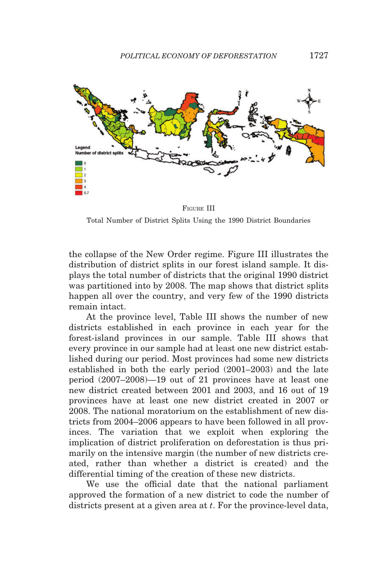

FIGURE III

Total Number of District Splits Using the 1990 District Boundaries

the collapse of the New Order regime. Figure III illustrates the distribution of district splits in our forest island sample. It displays the total number of districts that the original 1990 district was partitioned into by 2008. The map shows that district splits happen all over the country, and very few of the 1990 districts remain intact.

At the province level, [Table III](#page-21-0) shows the number of new districts established in each province in each year for the forest-island provinces in our sample. [Table III](#page-21-0) shows that every province in our sample had at least one new district established during our period. Most provinces had some new districts established in both the early period (2001–2003) and the late period (2007–2008)—19 out of 21 provinces have at least one new district created between 2001 and 2003, and 16 out of 19 provinces have at least one new district created in 2007 or 2008. The national moratorium on the establishment of new districts from 2004–2006 appears to have been followed in all provinces. The variation that we exploit when exploring the implication of district proliferation on deforestation is thus primarily on the intensive margin (the number of new districts created, rather than whether a district is created) and the differential timing of the creation of these new districts.

We use the official date that the national parliament approved the formation of a new district to code the number of districts present at a given area at  $t$ . For the province-level data,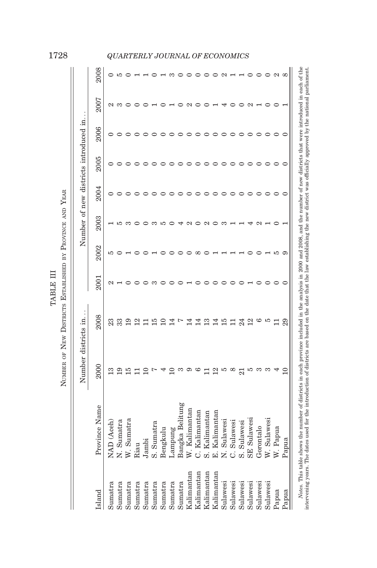| Province Name<br>W. Sumatra<br>NAD (Aceh)<br>N. Sumatra<br>Sumatra<br>Sumatra<br>Sumatra<br>Island |                |                 |      |          |      |      | Number of new districts introduced in |      |        |      |
|----------------------------------------------------------------------------------------------------|----------------|-----------------|------|----------|------|------|---------------------------------------|------|--------|------|
|                                                                                                    | 2000           | 2008            | 2001 | 2002     | 2003 | 2004 | 2005                                  | 2006 | 2007   | 2008 |
|                                                                                                    | ≌              | 23              |      |          |      |      |                                       |      | $\sim$ |      |
|                                                                                                    | $\overline{0}$ | 33              |      |          |      |      |                                       |      | ന      |      |
|                                                                                                    |                |                 |      |          |      |      |                                       |      |        |      |
| Riau<br>Sumatra                                                                                    |                |                 |      |          |      |      |                                       |      |        |      |
| Jambi<br>Sumatra                                                                                   |                |                 |      |          |      |      |                                       |      |        |      |
| S. Sumatra<br>Sumatra                                                                              |                |                 |      |          |      |      |                                       |      |        |      |
| Bengkulu<br>Sumatra                                                                                |                |                 |      |          |      |      |                                       |      |        |      |
| Lampung<br>Sumatra                                                                                 |                |                 |      |          |      |      |                                       |      |        |      |
| Bangka Belitung<br>Sumatra                                                                         |                |                 |      |          |      |      |                                       |      |        |      |
| W. Kalimantan<br>Kalimantan                                                                        | ာ              |                 |      |          | C    |      |                                       |      |        |      |
| Kalimantan<br>ċ۶<br>Kalimantan                                                                     | ల              | 4               |      | $\infty$ |      |      |                                       |      |        |      |
| Kalimantan<br>Kalimantan                                                                           |                | $\mathbf{r}$    |      |          | c    |      |                                       |      |        |      |
| Kalimantan<br>.<br>E<br>Kalimantan                                                                 | S              | $\overline{14}$ |      |          |      |      |                                       |      |        |      |
| Sulawesi<br>Ż<br>Sulawesi                                                                          | S              | $\overline{15}$ |      |          |      |      |                                       |      |        |      |
| Sulawesi<br>Õ<br>Sulawesi                                                                          | $^{\circ}$     |                 |      |          |      |      |                                       |      |        |      |
| Sulawesi<br>ø<br>Sulawesi                                                                          |                | 24              |      |          |      |      |                                       |      |        |      |
| <b>SE</b> Sulawesi<br>Sulawesi                                                                     |                | $\overline{2}$  |      |          |      |      |                                       |      |        |      |
| Gorontalo<br>Sulawesi                                                                              | ಣ              | అ               |      |          |      |      |                                       |      |        |      |
| W. Sulawesi<br>Sulawesi                                                                            | ಣ              | S               |      |          |      |      |                                       |      |        |      |
| W. Papua<br>Papua                                                                                  |                |                 |      | S        |      |      |                                       |      |        |      |
| Papua<br>Papua                                                                                     | $\mathbf{C}$   | 29              |      | ာ        |      |      |                                       |      |        |      |

NUMBER OF NEW DISTRICTS ESTABLISHED BY PROVINCE AND YEAR NUMBER OF NEW DISTRICTS ESTABLISHED BY PROVINCE AND YEAR TABLE III TABLE III

# <span id="page-21-0"></span>1728 QUARTERLY JOURNAL OF ECONOMICS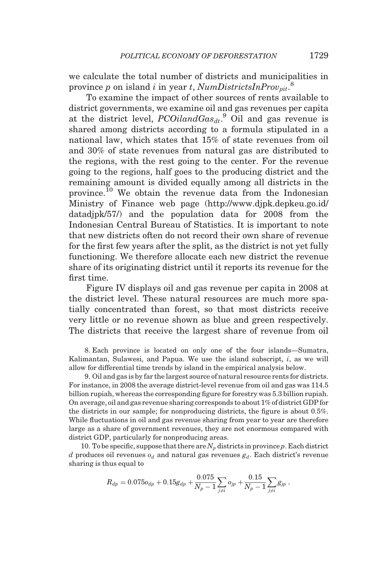we calculate the total number of districts and municipalities in province  $p$  on island  $i$  in year  $t$ ,  $\mathit{NumDistrictsInProv_{pit}}.^\text{8}$ 

To examine the impact of other sources of rents available to district governments, we examine oil and gas revenues per capita at the district level,  $PCOilandGas_{dt}$ .<sup>9</sup> Oil and gas revenue is shared among districts according to a formula stipulated in a national law, which states that 15% of state revenues from oil and 30% of state revenues from natural gas are distributed to the regions, with the rest going to the center. For the revenue going to the regions, half goes to the producing district and the remaining amount is divided equally among all districts in the province.<sup>10</sup> We obtain the revenue data from the Indonesian Ministry of Finance web page [\(http://www.djpk.depkeu.go.id/](http://www.djpk.depkeu.go.id/datadjpk/57/) [datadjpk/57/](http://www.djpk.depkeu.go.id/datadjpk/57/)) and the population data for 2008 from the Indonesian Central Bureau of Statistics. It is important to note that new districts often do not record their own share of revenue for the first few years after the split, as the district is not yet fully functioning. We therefore allocate each new district the revenue share of its originating district until it reports its revenue for the first time.

[Figure IV](#page-23-0) displays oil and gas revenue per capita in 2008 at the district level. These natural resources are much more spatially concentrated than forest, so that most districts receive very little or no revenue shown as blue and green respectively. The districts that receive the largest share of revenue from oil

8. Each province is located on only one of the four islands—Sumatra, Kalimantan, Sulawesi, and Papua. We use the island subscript,  $i$ , as we will allow for differential time trends by island in the empirical analysis below.

9. Oil and gas is by far the largest source of natural resource rents for districts. For instance, in 2008 the average district-level revenue from oil and gas was 114.5 billion rupiah, whereas the corresponding figure for forestry was 5.3 billion rupiah. On average, oil and gas revenue sharing corresponds to about 1% of district GDP for the districts in our sample; for nonproducing districts, the figure is about 0.5%. While fluctuations in oil and gas revenue sharing from year to year are therefore large as a share of government revenues, they are not enormous compared with district GDP, particularly for nonproducing areas.

10. To be specific, suppose that there are  $N_p$  districts in province p. Each district d produces oil revenues  $o_d$  and natural gas revenues  $g_d$ . Each district's revenue sharing is thus equal to

$$
R_{dp} = 0.075 o_{dp} + 0.15 g_{dp} + \frac{0.075}{N_p-1}\sum_{j\neq i} o_{jp} + \frac{0.15}{N_p-1}\sum_{j\neq i} g_{jp}~.
$$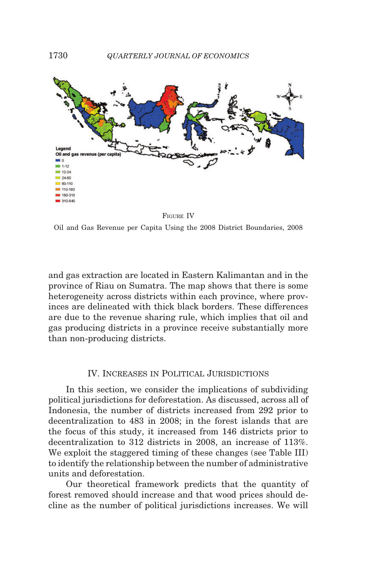<span id="page-23-0"></span>

FIGURE IV

Oil and Gas Revenue per Capita Using the 2008 District Boundaries, 2008

and gas extraction are located in Eastern Kalimantan and in the province of Riau on Sumatra. The map shows that there is some heterogeneity across districts within each province, where provinces are delineated with thick black borders. These differences are due to the revenue sharing rule, which implies that oil and gas producing districts in a province receive substantially more than non-producing districts.

#### IV. Increases in Political Jurisdictions

In this section, we consider the implications of subdividing political jurisdictions for deforestation. As discussed, across all of Indonesia, the number of districts increased from 292 prior to decentralization to 483 in 2008; in the forest islands that are the focus of this study, it increased from 146 districts prior to decentralization to 312 districts in 2008, an increase of 113%. We exploit the staggered timing of these changes (see [Table III\)](#page-21-0) to identify the relationship between the number of administrative units and deforestation.

Our theoretical framework predicts that the quantity of forest removed should increase and that wood prices should decline as the number of political jurisdictions increases. We will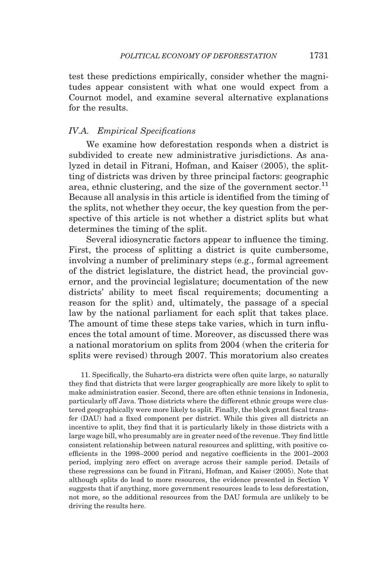test these predictions empirically, consider whether the magnitudes appear consistent with what one would expect from a Cournot model, and examine several alternative explanations for the results.

# IV.A. Empirical Specifications

We examine how deforestation responds when a district is subdivided to create new administrative jurisdictions. As analyzed in detail in [Fitrani, Hofman, and Kaiser \(2005\)](#page-46-0), the splitting of districts was driven by three principal factors: geographic area, ethnic clustering, and the size of the government sector. $11$ Because all analysis in this article is identified from the timing of the splits, not whether they occur, the key question from the perspective of this article is not whether a district splits but what determines the timing of the split.

Several idiosyncratic factors appear to influence the timing. First, the process of splitting a district is quite cumbersome, involving a number of preliminary steps (e.g., formal agreement of the district legislature, the district head, the provincial governor, and the provincial legislature; documentation of the new districts' ability to meet fiscal requirements; documenting a reason for the split) and, ultimately, the passage of a special law by the national parliament for each split that takes place. The amount of time these steps take varies, which in turn influences the total amount of time. Moreover, as discussed there was a national moratorium on splits from 2004 (when the criteria for splits were revised) through 2007. This moratorium also creates

11. Specifically, the Suharto-era districts were often quite large, so naturally they find that districts that were larger geographically are more likely to split to make administration easier. Second, there are often ethnic tensions in Indonesia, particularly off Java. Those districts where the different ethnic groups were clustered geographically were more likely to split. Finally, the block grant fiscal transfer (DAU) had a fixed component per district. While this gives all districts an incentive to split, they find that it is particularly likely in those districts with a large wage bill, who presumably are in greater need of the revenue. They find little consistent relationship between natural resources and splitting, with positive coefficients in the 1998–2000 period and negative coefficients in the 2001–2003 period, implying zero effect on average across their sample period. Details of these regressions can be found in [Fitrani, Hofman, and Kaiser \(2005\).](#page-46-0) Note that although splits do lead to more resources, the evidence presented in Section V suggests that if anything, more government resources leads to less deforestation, not more, so the additional resources from the DAU formula are unlikely to be driving the results here.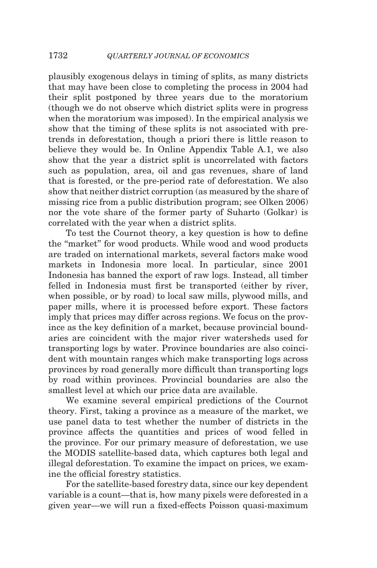plausibly exogenous delays in timing of splits, as many districts that may have been close to completing the process in 2004 had their split postponed by three years due to the moratorium (though we do not observe which district splits were in progress when the moratorium was imposed). In the empirical analysis we show that the timing of these splits is not associated with pretrends in deforestation, though a priori there is little reason to believe they would be. In [Online Appendix Table A.1,](http://hwmaint.qje.oxfordjournals.org/cgi/content/full/qjs034/DC1) we also show that the year a district split is uncorrelated with factors such as population, area, oil and gas revenues, share of land that is forested, or the pre-period rate of deforestation. We also show that neither district corruption (as measured by the share of missing rice from a public distribution program; see [Olken 2006\)](#page-47-0) nor the vote share of the former party of Suharto (Golkar) is correlated with the year when a district splits.

To test the Cournot theory, a key question is how to define the ''market'' for wood products. While wood and wood products are traded on international markets, several factors make wood markets in Indonesia more local. In particular, since 2001 Indonesia has banned the export of raw logs. Instead, all timber felled in Indonesia must first be transported (either by river, when possible, or by road) to local saw mills, plywood mills, and paper mills, where it is processed before export. These factors imply that prices may differ across regions. We focus on the province as the key definition of a market, because provincial boundaries are coincident with the major river watersheds used for transporting logs by water. Province boundaries are also coincident with mountain ranges which make transporting logs across provinces by road generally more difficult than transporting logs by road within provinces. Provincial boundaries are also the smallest level at which our price data are available.

We examine several empirical predictions of the Cournot theory. First, taking a province as a measure of the market, we use panel data to test whether the number of districts in the province affects the quantities and prices of wood felled in the province. For our primary measure of deforestation, we use the MODIS satellite-based data, which captures both legal and illegal deforestation. To examine the impact on prices, we examine the official forestry statistics.

For the satellite-based forestry data, since our key dependent variable is a count—that is, how many pixels were deforested in a given year—we will run a fixed-effects Poisson quasi-maximum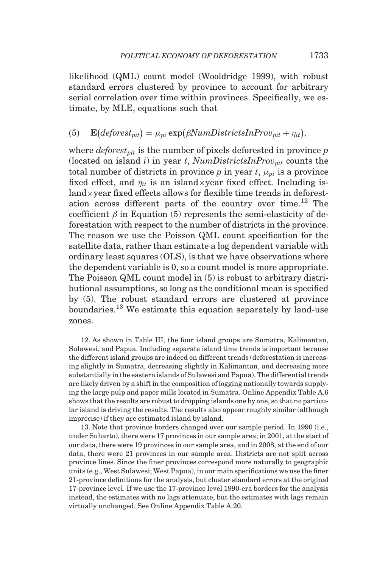<span id="page-26-0"></span>likelihood (QML) count model [\(Wooldridge 1999](#page-47-0)), with robust standard errors clustered by province to account for arbitrary serial correlation over time within provinces. Specifically, we estimate, by MLE, equations such that

# (5)  $\mathbf{E}(\text{deforest}_{\text{nit}}) = \mu_{\text{ni}} \exp(\beta \text{NumDistributions} \cdot \text{InProv}_{\text{nit}} + \eta_{\text{it}}),$

where  $deforest_{nit}$  is the number of pixels deforested in province p (located on island i) in year t,  $NumDistributions_{pit}$  counts the total number of districts in province p in year t,  $\mu_{pi}$  is a province fixed effect, and  $\eta_{it}$  is an island×year fixed effect. Including is $land \times year$  fixed effects allows for flexible time trends in deforestation across different parts of the country over time.<sup>12</sup> The coefficient  $\beta$  in Equation (5) represents the semi-elasticity of deforestation with respect to the number of districts in the province. The reason we use the Poisson QML count specification for the satellite data, rather than estimate a log dependent variable with ordinary least squares (OLS), is that we have observations where the dependent variable is 0, so a count model is more appropriate. The Poisson QML count model in (5) is robust to arbitrary distributional assumptions, so long as the conditional mean is specified by (5). The robust standard errors are clustered at province boundaries.<sup>13</sup> We estimate this equation separately by land-use zones.

12. As shown in [Table III,](#page-21-0) the four island groups are Sumatra, Kalimantan, Sulawesi, and Papua. Including separate island time trends is important because the different island groups are indeed on different trends (deforestation is increasing slightly in Sumatra, decreasing slightly in Kalimantan, and decreasing more substantially in the eastern islands of Sulawesi and Papua). The differential trends are likely driven by a shift in the composition of logging nationally towards supplying the large pulp and paper mills located in Sumatra. [Online Appendix Table A.6](http://hwmaint.qje.oxfordjournals.org/cgi/content/full/qjs034/DC1) shows that the results are robust to dropping islands one by one, so that no particular island is driving the results. The results also appear roughly similar (although imprecise) if they are estimated island by island.

13. Note that province borders changed over our sample period. In 1990 (i.e., under Suharto), there were 17 provinces in our sample area; in 2001, at the start of our data, there were 19 provinces in our sample area, and in 2008, at the end of our data, there were 21 provinces in our sample area. Districts are not split across province lines. Since the finer provinces correspond more naturally to geographic units (e.g., West Sulawesi; West Papua), in our main specifications we use the finer 21-province definitions for the analysis, but cluster standard errors at the original 17-province level. If we use the 17-province level 1990-era borders for the analysis instead, the estimates with no lags attenuate, but the estimates with lags remain virtually unchanged. See [Online Appendix Table A.20](http://hwmaint.qje.oxfordjournals.org/cgi/content/full/qjs034/DC1).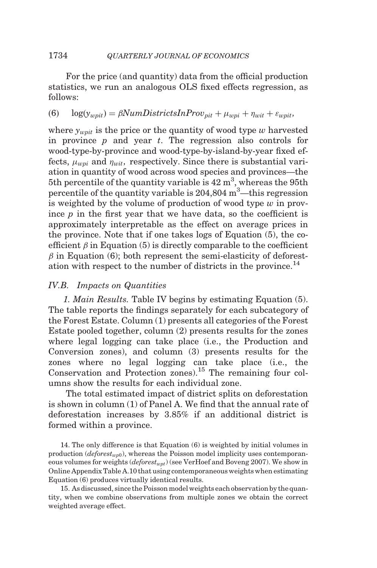<span id="page-27-0"></span>For the price (and quantity) data from the official production statistics, we run an analogous OLS fixed effects regression, as follows:

# (6)  $\log(y_{\text{unit}}) = \beta NumDistributionsInProv_{pit} + \mu_{wpi} + \eta_{wit} + \varepsilon_{wpit}$

where  $y_{wpit}$  is the price or the quantity of wood type w harvested in province  $p$  and year  $t$ . The regression also controls for wood-type-by-province and wood-type-by-island-by-year fixed effects,  $\mu_{mn}$  and  $\eta_{mit}$ , respectively. Since there is substantial variation in quantity of wood across wood species and provinces—the 5th percentile of the quantity variable is  $42 \text{ m}^3$ , whereas the 95th percentile of the quantity variable is 204,804  $\text{m}^3$ —this regression is weighted by the volume of production of wood type  $w$  in province  $p$  in the first year that we have data, so the coefficient is approximately interpretable as the effect on average prices in the province. Note that if one takes logs of [Equation \(5\)](#page-26-0), the coefficient  $\beta$  in [Equation \(5\)](#page-26-0) is directly comparable to the coefficient  $\beta$  in Equation (6); both represent the semi-elasticity of deforestation with respect to the number of districts in the province.<sup>14</sup>

# IV.B. Impacts on Quantities

1. Main Results. [Table IV](#page-30-0) begins by estimating [Equation \(5\)](#page-26-0). The table reports the findings separately for each subcategory of the Forest Estate. Column (1) presents all categories of the Forest Estate pooled together, column (2) presents results for the zones where legal logging can take place (i.e., the Production and Conversion zones), and column (3) presents results for the zones where no legal logging can take place (i.e., the Conservation and Protection zones).<sup>15</sup> The remaining four columns show the results for each individual zone.

The total estimated impact of district splits on deforestation is shown in column (1) of Panel A. We find that the annual rate of deforestation increases by 3.85% if an additional district is formed within a province.

14. The only difference is that Equation (6) is weighted by initial volumes in production ( $deforest_{wp0}$ ), whereas the Poisson model implicity uses contemporaneous volumes for weights  $(deforest_{wpt})$  (see [VerHoef and Boveng 2007](#page-47-0)). We show in [Online Appendix Table A.10](http://hwmaint.qje.oxfordjournals.org/cgi/content/full/qjs034/DC1) that using contemporaneous weights when estimating Equation (6) produces virtually identical results.

15. As discussed, since the Poisson model weights each observation by the quantity, when we combine observations from multiple zones we obtain the correct weighted average effect.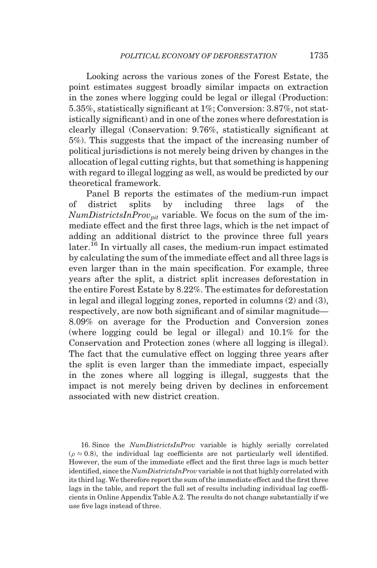Looking across the various zones of the Forest Estate, the point estimates suggest broadly similar impacts on extraction in the zones where logging could be legal or illegal (Production: 5.35%, statistically significant at 1%; Conversion: 3.87%, not statistically significant) and in one of the zones where deforestation is clearly illegal (Conservation: 9.76%, statistically significant at 5%). This suggests that the impact of the increasing number of political jurisdictions is not merely being driven by changes in the allocation of legal cutting rights, but that something is happening with regard to illegal logging as well, as would be predicted by our theoretical framework.

Panel B reports the estimates of the medium-run impact of district splits by including three lags of the  $NumD is tricts In Prov<sub>nit</sub> variable. We focus on the sum of the im$ mediate effect and the first three lags, which is the net impact of adding an additional district to the province three full years  $later.<sup>16</sup>$  In virtually all cases, the medium-run impact estimated by calculating the sum of the immediate effect and all three lags is even larger than in the main specification. For example, three years after the split, a district split increases deforestation in the entire Forest Estate by 8.22%. The estimates for deforestation in legal and illegal logging zones, reported in columns (2) and (3), respectively, are now both significant and of similar magnitude— 8.09% on average for the Production and Conversion zones (where logging could be legal or illegal) and 10.1% for the Conservation and Protection zones (where all logging is illegal). The fact that the cumulative effect on logging three years after the split is even larger than the immediate impact, especially in the zones where all logging is illegal, suggests that the impact is not merely being driven by declines in enforcement associated with new district creation.

16. Since the NumDistrictsInProv variable is highly serially correlated ( $\rho \approx 0.8$ ), the individual lag coefficients are not particularly well identified. However, the sum of the immediate effect and the first three lags is much better identified, since the  $NumD is tricksInProv$  variable is not that highly correlated with its third lag. We therefore report the sum of the immediate effect and the first three lags in the table, and report the full set of results including individual lag coefficients in [Online Appendix Table A.2.](http://hwmaint.qje.oxfordjournals.org/cgi/content/full/qjs034/DC1) The results do not change substantially if we use five lags instead of three.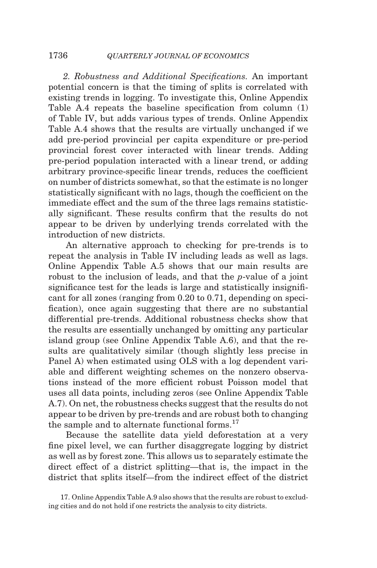2. Robustness and Additional Specifications. An important potential concern is that the timing of splits is correlated with existing trends in logging. To investigate this, [Online Appendix](http://hwmaint.qje.oxfordjournals.org/cgi/content/full/qjs034/DC1) [Table A.4](http://hwmaint.qje.oxfordjournals.org/cgi/content/full/qjs034/DC1) repeats the baseline specification from column (1) of [Table IV](#page-30-0), but adds various types of trends. [Online Appendix](http://hwmaint.qje.oxfordjournals.org/cgi/content/full/qjs034/DC1) [Table A.4](http://hwmaint.qje.oxfordjournals.org/cgi/content/full/qjs034/DC1) shows that the results are virtually unchanged if we add pre-period provincial per capita expenditure or pre-period provincial forest cover interacted with linear trends. Adding pre-period population interacted with a linear trend, or adding arbitrary province-specific linear trends, reduces the coefficient on number of districts somewhat, so that the estimate is no longer statistically significant with no lags, though the coefficient on the immediate effect and the sum of the three lags remains statistically significant. These results confirm that the results do not appear to be driven by underlying trends correlated with the introduction of new districts.

An alternative approach to checking for pre-trends is to repeat the analysis in [Table IV](#page-30-0) including leads as well as lags. [Online Appendix Table A.5](http://hwmaint.qje.oxfordjournals.org/cgi/content/full/qjs034/DC1) shows that our main results are robust to the inclusion of leads, and that the p-value of a joint significance test for the leads is large and statistically insignificant for all zones (ranging from 0.20 to 0.71, depending on specification), once again suggesting that there are no substantial differential pre-trends. Additional robustness checks show that the results are essentially unchanged by omitting any particular island group (see [Online Appendix Table A.6\)](http://hwmaint.qje.oxfordjournals.org/cgi/content/full/qjs034/DC1), and that the results are qualitatively similar (though slightly less precise in Panel A) when estimated using OLS with a log dependent variable and different weighting schemes on the nonzero observations instead of the more efficient robust Poisson model that uses all data points, including zeros (see [Online Appendix Table](http://hwmaint.qje.oxfordjournals.org/cgi/content/full/qjs034/DC1) [A.7\)](http://hwmaint.qje.oxfordjournals.org/cgi/content/full/qjs034/DC1). On net, the robustness checks suggest that the results do not appear to be driven by pre-trends and are robust both to changing the sample and to alternate functional forms.<sup>17</sup>

Because the satellite data yield deforestation at a very fine pixel level, we can further disaggregate logging by district as well as by forest zone. This allows us to separately estimate the direct effect of a district splitting—that is, the impact in the district that splits itself—from the indirect effect of the district

<sup>17.</sup> [Online Appendix Table A.9](http://hwmaint.qje.oxfordjournals.org/cgi/content/full/qjs034/DC1) also shows that the results are robust to excluding cities and do not hold if one restricts the analysis to city districts.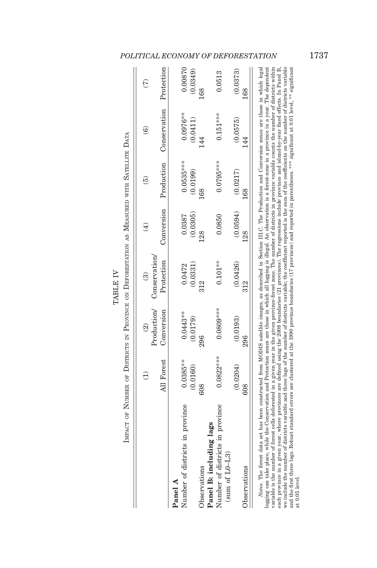<span id="page-30-0"></span>

|                                                                                                                                                                                                                                                                                                                                                                                                                                                                                                                                                      |             |             | IMPACT OF NUMBER OF DISTRICTS IN PROVINCE ON DEFORESTATION AS MEASURED WITH SATELLITE DATA |               |                       |                                               |          |
|------------------------------------------------------------------------------------------------------------------------------------------------------------------------------------------------------------------------------------------------------------------------------------------------------------------------------------------------------------------------------------------------------------------------------------------------------------------------------------------------------------------------------------------------------|-------------|-------------|--------------------------------------------------------------------------------------------|---------------|-----------------------|-----------------------------------------------|----------|
|                                                                                                                                                                                                                                                                                                                                                                                                                                                                                                                                                      |             |             | $\widehat{\mathcal{C}}$                                                                    | $\widehat{4}$ | 6                     | $\widehat{\mathbf{e}}$                        | í7)      |
|                                                                                                                                                                                                                                                                                                                                                                                                                                                                                                                                                      | All Forest  | Conversion  | Production/ Conservation/<br>Protection                                                    |               |                       | Conversion Production Conservation Protection |          |
| Panel A                                                                                                                                                                                                                                                                                                                                                                                                                                                                                                                                              |             |             |                                                                                            |               |                       |                                               |          |
| Number of districts in province                                                                                                                                                                                                                                                                                                                                                                                                                                                                                                                      | $0.0385**$  | $0.0443**$  | 0.0472                                                                                     | 0.0387        | $0.0535***$           | $0.0976***$                                   | 0.00870  |
|                                                                                                                                                                                                                                                                                                                                                                                                                                                                                                                                                      | (0.0160)    | (0.0179)    | (0.0331)                                                                                   | (0.0305)      | (0.0199)              | (0.0411)                                      | (0.0349) |
| Observations                                                                                                                                                                                                                                                                                                                                                                                                                                                                                                                                         | 608         | 296         |                                                                                            | 128           | 89                    |                                               | 168      |
| Panel B: including lags                                                                                                                                                                                                                                                                                                                                                                                                                                                                                                                              |             |             |                                                                                            |               |                       |                                               |          |
| Number of districts in province                                                                                                                                                                                                                                                                                                                                                                                                                                                                                                                      | $0.0822***$ | $0.0809***$ | $0.101**$                                                                                  | 0.0850        | $0.0795***$           | $0.151***$                                    | 0.0513   |
| (sum of $LO-L3$ )                                                                                                                                                                                                                                                                                                                                                                                                                                                                                                                                    |             |             |                                                                                            |               |                       |                                               |          |
|                                                                                                                                                                                                                                                                                                                                                                                                                                                                                                                                                      | (0.0204)    | (0.0193)    | (0.0426)                                                                                   |               | $(0.0594)$ $(0.0217)$ | (0.0575)                                      | (0.0373) |
| Observations                                                                                                                                                                                                                                                                                                                                                                                                                                                                                                                                         |             | 296         | 312                                                                                        | 128           | $^{88}$               |                                               | 68       |
| Notes. The forest data set has been constructed from MODIS satellite images, as described in Section III.C. The Production and Conversion zones are those in which legal<br>logging can take place, while the Conservation and Protection zones are those in which all logging is illegal. An observation is a forest-zone in a province in a year. The dependent<br>variable is the number of forest cells deforested in a given wear in the given province-forest complete of districts in province variable counts the number of districts within |             |             |                                                                                            |               |                       |                                               |          |

TABLE IV

TABLE IV

variable is the mimber of forest cells deforested in a given year in the given province-forest zone. The number of districts in province variable counts the number of districts within each province in a given year, where variable is the number of forest cells deforested in a given year in the given province-forest zone. The number of districts in province variable counts the number of districts within each province in a given year, where provinces are defined using the 2008 boundaries (21 provinces). The regressions include province and island-by-year fixed effects. In Panel B, we include the number of districts variable and three lags of the number of districts variable; the coefficient reported is the sum of the coefficients on the number of districts variable and the first three lags. Robust standard errors are clustered at the 1990 province boundaries (17 provinces) and reported in parentheses. \*\*\* significant at 0.01 level, \*\* significant at 0.05 level.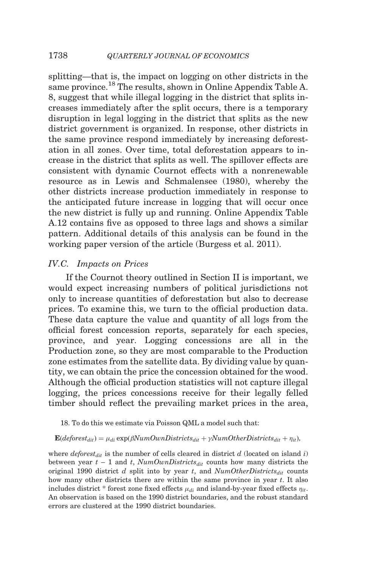splitting—that is, the impact on logging on other districts in the same province.<sup>18</sup> The results, shown in [Online Appendix Table A.](http://hwmaint.qje.oxfordjournals.org/cgi/content/full/qjs034/DC1) [8,](http://hwmaint.qje.oxfordjournals.org/cgi/content/full/qjs034/DC1) suggest that while illegal logging in the district that splits increases immediately after the split occurs, there is a temporary disruption in legal logging in the district that splits as the new district government is organized. In response, other districts in the same province respond immediately by increasing deforestation in all zones. Over time, total deforestation appears to increase in the district that splits as well. The spillover effects are consistent with dynamic Cournot effects with a nonrenewable resource as in [Lewis and Schmalensee \(1980\)](#page-47-0), whereby the other districts increase production immediately in response to the anticipated future increase in logging that will occur once the new district is fully up and running. [Online Appendix Table](http://hwmaint.qje.oxfordjournals.org/cgi/content/full/qjs034/DC1) [A.12](http://hwmaint.qje.oxfordjournals.org/cgi/content/full/qjs034/DC1) contains five as opposed to three lags and shows a similar pattern. Additional details of this analysis can be found in the working paper version of the article [\(Burgess et al. 2011\)](#page-46-0).

# IV.C. Impacts on Prices

If the Cournot theory outlined in Section II is important, we would expect increasing numbers of political jurisdictions not only to increase quantities of deforestation but also to decrease prices. To examine this, we turn to the official production data. These data capture the value and quantity of all logs from the official forest concession reports, separately for each species, province, and year. Logging concessions are all in the Production zone, so they are most comparable to the Production zone estimates from the satellite data. By dividing value by quantity, we can obtain the price the concession obtained for the wood. Although the official production statistics will not capture illegal logging, the prices concessions receive for their legally felled timber should reflect the prevailing market prices in the area,

18. To do this we estimate via Poisson QML a model such that:

#### $\mathbf{E}(deforest_{dit}) = \mu_{di} \exp(\beta NumOwnDistricts_{dit} + \gamma NumOtherDistricts_{dit} + \eta_{it}),$

where  $deforest_{dit}$  is the number of cells cleared in district d (located on island i) between year  $t - 1$  and t, NumOwnDistricts<sub>dit</sub> counts how many districts the original 1990 district d split into by year t, and  $NumOtherDistricts_{dit}$  counts how many other districts there are within the same province in year  $t$ . It also includes district \* forest zone fixed effects  $\mu_{di}$  and island-by-year fixed effects  $\eta_{it}$ . An observation is based on the 1990 district boundaries, and the robust standard errors are clustered at the 1990 district boundaries.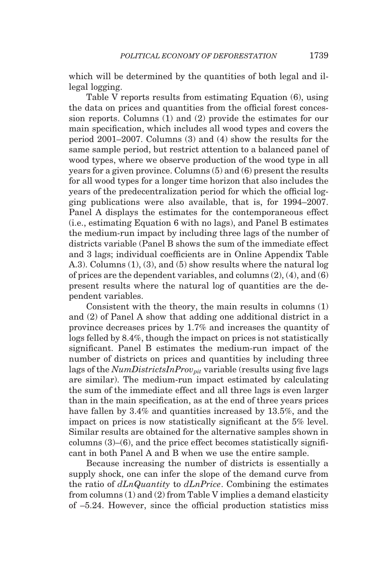which will be determined by the quantities of both legal and illegal logging.

[Table V](#page-33-0) reports results from estimating [Equation \(6\)](#page-27-0), using the data on prices and quantities from the official forest concession reports. Columns (1) and (2) provide the estimates for our main specification, which includes all wood types and covers the period 2001–2007. Columns (3) and (4) show the results for the same sample period, but restrict attention to a balanced panel of wood types, where we observe production of the wood type in all years for a given province. Columns (5) and (6) present the results for all wood types for a longer time horizon that also includes the years of the predecentralization period for which the official logging publications were also available, that is, for 1994–2007. Panel A displays the estimates for the contemporaneous effect (i.e., estimating [Equation 6](#page-27-0) with no lags), and Panel B estimates the medium-run impact by including three lags of the number of districts variable (Panel B shows the sum of the immediate effect and 3 lags; individual coefficients are in [Online Appendix Table](http://hwmaint.qje.oxfordjournals.org/cgi/content/full/qjs034/DC1) [A.3](http://hwmaint.qje.oxfordjournals.org/cgi/content/full/qjs034/DC1)). Columns (1), (3), and (5) show results where the natural log of prices are the dependent variables, and columns  $(2)$ ,  $(4)$ , and  $(6)$ present results where the natural log of quantities are the dependent variables.

Consistent with the theory, the main results in columns (1) and (2) of Panel A show that adding one additional district in a province decreases prices by 1.7% and increases the quantity of logs felled by 8.4%, though the impact on prices is not statistically significant. Panel B estimates the medium-run impact of the number of districts on prices and quantities by including three lags of the  $NumDistributions$  variable (results using five lags are similar). The medium-run impact estimated by calculating the sum of the immediate effect and all three lags is even larger than in the main specification, as at the end of three years prices have fallen by 3.4% and quantities increased by 13.5%, and the impact on prices is now statistically significant at the 5% level. Similar results are obtained for the alternative samples shown in columns  $(3)$ – $(6)$ , and the price effect becomes statistically significant in both Panel A and B when we use the entire sample.

Because increasing the number of districts is essentially a supply shock, one can infer the slope of the demand curve from the ratio of dLnQuantity to dLnPrice. Combining the estimates from columns (1) and (2) from [Table V](#page-33-0) implies a demand elasticity of –5.24. However, since the official production statistics miss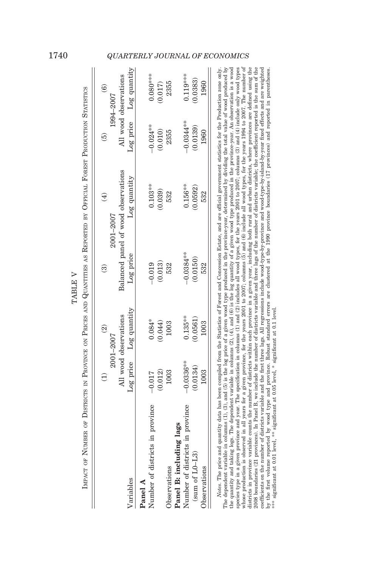|                                                                                                                         |             |                          | TABLE V      |                                     |             |                        |
|-------------------------------------------------------------------------------------------------------------------------|-------------|--------------------------|--------------|-------------------------------------|-------------|------------------------|
| IMPACT OF NUMBER OF DISTRICTS IN PROVINCE ON PRICES AND QUANTITIES AS REPORTED BY OFFICIAL FOREST PRODUCTION STATISTICS |             |                          |              |                                     |             |                        |
|                                                                                                                         |             | $\widehat{\mathfrak{D}}$ | ෆි           |                                     | G           | <u>େ</u>               |
|                                                                                                                         |             | 2001-2007                |              | 2001-2007                           |             | 1994-2007              |
|                                                                                                                         |             | All wood observations    |              | Balanced panel of wood observations |             | All wood observations  |
| Variables                                                                                                               |             | Log price Log quantity   | Log price    | Log quantity                        |             | Log price Log quantity |
| Panel A                                                                                                                 |             |                          |              |                                     |             |                        |
| Number of districts in province                                                                                         | $-0.017$    | $0.084*$                 | $-0.019$     | $0.103**$                           | $0.024***$  | 0.080***               |
|                                                                                                                         | (0.012)     | (0.044)                  | (0.013)      | (0.039)                             | (0.010)     | 0.017)                 |
| Observations                                                                                                            | 1003        | 1003                     | 532          | 532                                 | 2355        | 2355                   |
| Panel B: including lags                                                                                                 |             |                          |              |                                     |             |                        |
| Number of districts in province                                                                                         | $-0.0336**$ | $0.135***$               | $-0.0384***$ | $0.156***$                          | $0.0344***$ | $0.119***$             |
| $\text{(sum of L0-L3)}$                                                                                                 | (0.0134)    | 0.0561)                  | (0.0150)     | 0.0592)                             | 0.0139)     | 0.0383)                |
| Observations                                                                                                            | 1003        | 1003                     | 532          | 532                                 | 1960        | 1960                   |
|                                                                                                                         |             |                          |              |                                     |             |                        |

whose production is observed in all years for a given province, for the years 2001 to 2007; columns (5) and (6) include all wood types, for the years 1994 to 2007. The number of<br>districts in province variable counts the nu Notes. The price and quantity data has been compiled from the Statistics of Forest and Concession Estate, and are official government statistics for the Production zone only. The dependent variable in columns  $(1), (3),$  and  $(5)$  is the log price of a given wood type produced in the province-year, determined by dividing the total value of wood produced by the quantity and taking logs. The dependent variable in columns (2), (4), and (6) is the log quantity of a given wood type produced in the province-year. An observation is a wood species type in a given province and year. 2008 boundaries (21 provinces). In Panel B, we include the number of districts variable and three lags of the number of districts variable; the coefficient reported is the sum of the coefficients on the number of districts variable and the first three lags. All regressions include wood-type-by-province and wood-type-by-island-by-year fixed effects and are weighted by the first volume reported by wood type and province. Robust standard errors are clustered at the 1990 province boundaries [17 provinces] and reported in parentheses.<br>\*\*\* significant at 0.01 level, \*\* significant at 0.0 The dependent variable in columns (1), (3), and (5) is the log price of a given wood type produced in the province-year, determined by dividing the total value of wood produced by the quantity and taking logs. The dependent variable in columns (2), (4), and (6) is the log quantity of a given wood type produced in the province-year. An observation is a wood species type in a given province and year. The specification in columns (1) and (2) includes all wood types, for the years 2001 to 2007; columns (3) and (4) include only wood types whose production is observed in all years for a given province, for the years 2001 to 2007; columns (5) and (6) include all wood types, for the years 1994 to 2007. The number of districts in province variable counts the number of districts within each province in a given year, including both rural and urban districts, where provinces are defined using the 2008 boundaries (21 provinces). In Panel B, we include the number of districts variable and three lags of the number of districts variable; the coefficient reported is the sum of the coefficients on the number of districts variable and the first three lags. All regressions include wood-type-by-province and wood-type-by-island-by-year fixed effects and are weighted Notes. The price and quantity data has been compiled from the Statistics of Forest and Concession Estate, and are official government statistics for the Production zone only. by the first volume reported by wood type and province. Robust standard errors are clustered at the 1990 province boundaries (17 provinces) and reported in parentheses. \*\*\* significant at 0.01 level, \*\* significant at 0.05 level, \* significant at 0.1 level.

TABLE V

# <span id="page-33-0"></span>1740 QUARTERLY JOURNAL OF ECONOMICS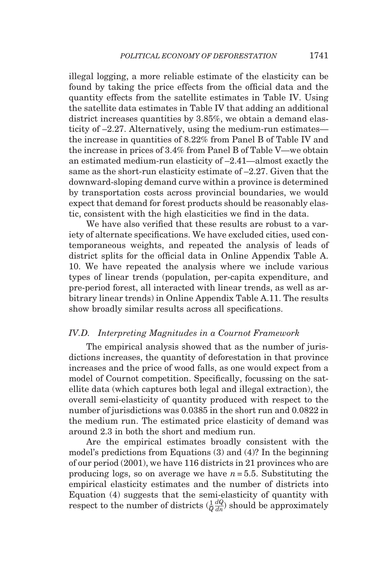illegal logging, a more reliable estimate of the elasticity can be found by taking the price effects from the official data and the quantity effects from the satellite estimates in [Table IV.](#page-30-0) Using the satellite data estimates in [Table IV](#page-30-0) that adding an additional district increases quantities by 3.85%, we obtain a demand elasticity of –2.27. Alternatively, using the medium-run estimates the increase in quantities of 8.22% from Panel B of [Table IV](#page-30-0) and the increase in prices of 3.4% from Panel B of [Table V](#page-33-0)—we obtain an estimated medium-run elasticity of –2.41—almost exactly the same as the short-run elasticity estimate of –2.27. Given that the downward-sloping demand curve within a province is determined by transportation costs across provincial boundaries, we would expect that demand for forest products should be reasonably elastic, consistent with the high elasticities we find in the data.

We have also verified that these results are robust to a variety of alternate specifications. We have excluded cities, used contemporaneous weights, and repeated the analysis of leads of district splits for the official data in [Online Appendix Table A.](http://hwmaint.qje.oxfordjournals.org/cgi/content/full/qjs034/DC1) [10.](http://hwmaint.qje.oxfordjournals.org/cgi/content/full/qjs034/DC1) We have repeated the analysis where we include various types of linear trends (population, per-capita expenditure, and pre-period forest, all interacted with linear trends, as well as arbitrary linear trends) in [Online Appendix Table A.11.](http://hwmaint.qje.oxfordjournals.org/cgi/content/full/qjs034/DC1) The results show broadly similar results across all specifications.

# IV.D. Interpreting Magnitudes in a Cournot Framework

The empirical analysis showed that as the number of jurisdictions increases, the quantity of deforestation in that province increases and the price of wood falls, as one would expect from a model of Cournot competition. Specifically, focussing on the satellite data (which captures both legal and illegal extraction), the overall semi-elasticity of quantity produced with respect to the number of jurisdictions was 0.0385 in the short run and 0.0822 in the medium run. The estimated price elasticity of demand was around 2.3 in both the short and medium run.

Are the empirical estimates broadly consistent with the model's predictions from [Equations \(3\)](#page-6-0) and [\(4\)](#page-7-0)? In the beginning of our period (2001), we have 116 districts in 21 provinces who are producing logs, so on average we have  $n = 5.5$ . Substituting the empirical elasticity estimates and the number of districts into [Equation \(4\)](#page-7-0) suggests that the semi-elasticity of quantity with respect to the number of districts  $(\frac{1}{Q}\frac{dQ}{dn})$  should be approximately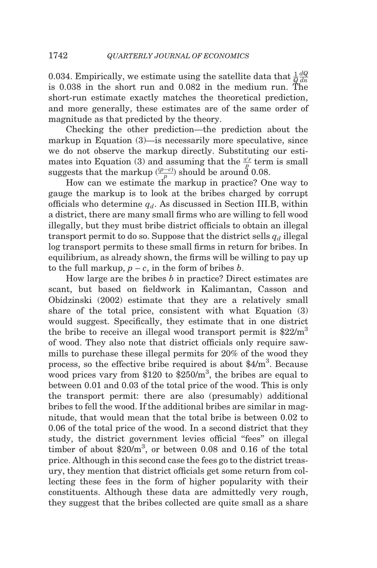0.034. Empirically, we estimate using the satellite data that  $\frac{1}{Q}\frac{dQ}{dn}$ is 0.038 in the short run and 0.082 in the medium run. The short-run estimate exactly matches the theoretical prediction, and more generally, these estimates are of the same order of magnitude as that predicted by the theory.

Checking the other prediction—the prediction about the markup in [Equation \(3\)](#page-6-0)—is necessarily more speculative, since we do not observe the markup directly. Substituting our esti-mates into [Equation \(3\)](#page-6-0) and assuming that the  $\frac{\pi r}{n}$  term is small mates mo Equation (b) and assuming that the  $p$  term<br>suggests that the markup  $\left(\frac{(p-c)}{p}\right)$  should be around 0.08.

How can we estimate the markup in practice? One way to gauge the markup is to look at the bribes charged by corrupt officials who determine  $q_d$ . As discussed in Section III.B, within a district, there are many small firms who are willing to fell wood illegally, but they must bribe district officials to obtain an illegal transport permit to do so. Suppose that the district sells  $q_d$  illegal log transport permits to these small firms in return for bribes. In equilibrium, as already shown, the firms will be willing to pay up to the full markup,  $p - c$ , in the form of bribes b.

How large are the bribes b in practice? Direct estimates are scant, but based on fieldwork in Kalimantan, [Casson and](#page-46-0) [Obidzinski \(2002\)](#page-46-0) estimate that they are a relatively small share of the total price, consistent with what [Equation \(3\)](#page-6-0) would suggest. Specifically, they estimate that in one district the bribe to receive an illegal wood transport permit is  $22/m^3$ of wood. They also note that district officials only require sawmills to purchase these illegal permits for 20% of the wood they process, so the effective bribe required is about \$4/m<sup>3</sup>. Because wood prices vary from \$120 to \$250/m<sup>3</sup>, the bribes are equal to between 0.01 and 0.03 of the total price of the wood. This is only the transport permit: there are also (presumably) additional bribes to fell the wood. If the additional bribes are similar in magnitude, that would mean that the total bribe is between 0.02 to 0.06 of the total price of the wood. In a second district that they study, the district government levies official "fees" on illegal timber of about  $$20/m^3$ , or between 0.08 and 0.16 of the total price. Although in this second case the fees go to the district treasury, they mention that district officials get some return from collecting these fees in the form of higher popularity with their constituents. Although these data are admittedly very rough, they suggest that the bribes collected are quite small as a share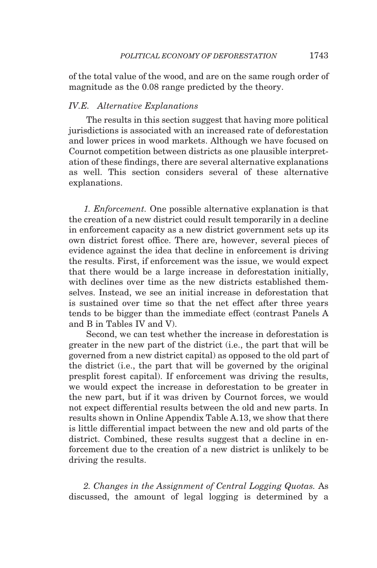of the total value of the wood, and are on the same rough order of magnitude as the 0.08 range predicted by the theory.

# IV.E. Alternative Explanations

The results in this section suggest that having more political jurisdictions is associated with an increased rate of deforestation and lower prices in wood markets. Although we have focused on Cournot competition between districts as one plausible interpretation of these findings, there are several alternative explanations as well. This section considers several of these alternative explanations.

1. Enforcement. One possible alternative explanation is that the creation of a new district could result temporarily in a decline in enforcement capacity as a new district government sets up its own district forest office. There are, however, several pieces of evidence against the idea that decline in enforcement is driving the results. First, if enforcement was the issue, we would expect that there would be a large increase in deforestation initially, with declines over time as the new districts established themselves. Instead, we see an initial increase in deforestation that is sustained over time so that the net effect after three years tends to be bigger than the immediate effect (contrast Panels A and B in [Tables IV](#page-30-0) and [V](#page-33-0)).

Second, we can test whether the increase in deforestation is greater in the new part of the district (i.e., the part that will be governed from a new district capital) as opposed to the old part of the district (i.e., the part that will be governed by the original presplit forest capital). If enforcement was driving the results, we would expect the increase in deforestation to be greater in the new part, but if it was driven by Cournot forces, we would not expect differential results between the old and new parts. In results shown in [Online Appendix Table A.13](http://hwmaint.qje.oxfordjournals.org/cgi/content/full/qjs034/DC1), we show that there is little differential impact between the new and old parts of the district. Combined, these results suggest that a decline in enforcement due to the creation of a new district is unlikely to be driving the results.

2. Changes in the Assignment of Central Logging Quotas. As discussed, the amount of legal logging is determined by a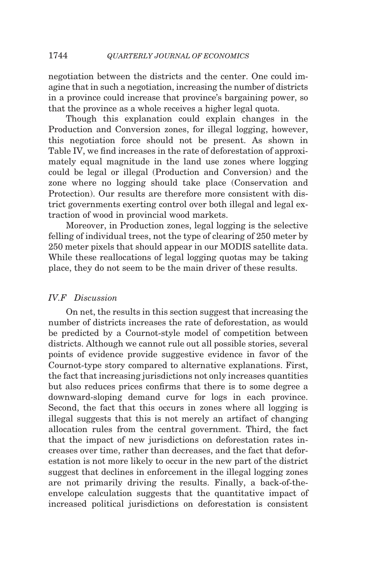negotiation between the districts and the center. One could imagine that in such a negotiation, increasing the number of districts in a province could increase that province's bargaining power, so that the province as a whole receives a higher legal quota.

Though this explanation could explain changes in the Production and Conversion zones, for illegal logging, however, this negotiation force should not be present. As shown in [Table IV,](#page-30-0) we find increases in the rate of deforestation of approximately equal magnitude in the land use zones where logging could be legal or illegal (Production and Conversion) and the zone where no logging should take place (Conservation and Protection). Our results are therefore more consistent with district governments exerting control over both illegal and legal extraction of wood in provincial wood markets.

Moreover, in Production zones, legal logging is the selective felling of individual trees, not the type of clearing of 250 meter by 250 meter pixels that should appear in our MODIS satellite data. While these reallocations of legal logging quotas may be taking place, they do not seem to be the main driver of these results.

# IV.F Discussion

On net, the results in this section suggest that increasing the number of districts increases the rate of deforestation, as would be predicted by a Cournot-style model of competition between districts. Although we cannot rule out all possible stories, several points of evidence provide suggestive evidence in favor of the Cournot-type story compared to alternative explanations. First, the fact that increasing jurisdictions not only increases quantities but also reduces prices confirms that there is to some degree a downward-sloping demand curve for logs in each province. Second, the fact that this occurs in zones where all logging is illegal suggests that this is not merely an artifact of changing allocation rules from the central government. Third, the fact that the impact of new jurisdictions on deforestation rates increases over time, rather than decreases, and the fact that deforestation is not more likely to occur in the new part of the district suggest that declines in enforcement in the illegal logging zones are not primarily driving the results. Finally, a back-of-theenvelope calculation suggests that the quantitative impact of increased political jurisdictions on deforestation is consistent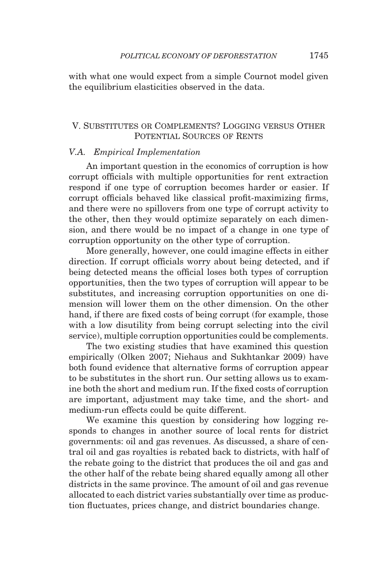with what one would expect from a simple Cournot model given the equilibrium elasticities observed in the data.

# V. Substitutes or Complements? Logging versus Other POTENTIAL SOURCES OF RENTS

# V.A. Empirical Implementation

An important question in the economics of corruption is how corrupt officials with multiple opportunities for rent extraction respond if one type of corruption becomes harder or easier. If corrupt officials behaved like classical profit-maximizing firms, and there were no spillovers from one type of corrupt activity to the other, then they would optimize separately on each dimension, and there would be no impact of a change in one type of corruption opportunity on the other type of corruption.

More generally, however, one could imagine effects in either direction. If corrupt officials worry about being detected, and if being detected means the official loses both types of corruption opportunities, then the two types of corruption will appear to be substitutes, and increasing corruption opportunities on one dimension will lower them on the other dimension. On the other hand, if there are fixed costs of being corrupt (for example, those with a low disutility from being corrupt selecting into the civil service), multiple corruption opportunities could be complements.

The two existing studies that have examined this question empirically [\(Olken 2007](#page-47-0); [Niehaus and Sukhtankar 2009\)](#page-47-0) have both found evidence that alternative forms of corruption appear to be substitutes in the short run. Our setting allows us to examine both the short and medium run. If the fixed costs of corruption are important, adjustment may take time, and the short- and medium-run effects could be quite different.

We examine this question by considering how logging responds to changes in another source of local rents for district governments: oil and gas revenues. As discussed, a share of central oil and gas royalties is rebated back to districts, with half of the rebate going to the district that produces the oil and gas and the other half of the rebate being shared equally among all other districts in the same province. The amount of oil and gas revenue allocated to each district varies substantially over time as production fluctuates, prices change, and district boundaries change.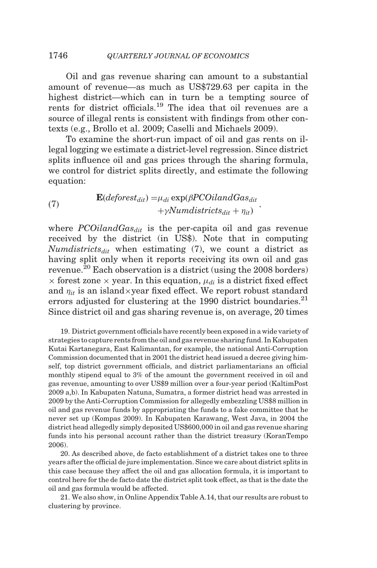#### <span id="page-39-0"></span>1746 QUARTERLY JOURNAL OF ECONOMICS

Oil and gas revenue sharing can amount to a substantial amount of revenue—as much as US\$729.63 per capita in the highest district—which can in turn be a tempting source of rents for district officials.<sup>19</sup> The idea that oil revenues are a source of illegal rents is consistent with findings from other contexts (e.g., [Brollo et al. 2009](#page-46-0); [Caselli and Michaels 2009](#page-46-0)).

To examine the short-run impact of oil and gas rents on illegal logging we estimate a district-level regression. Since district splits influence oil and gas prices through the sharing formula, we control for district splits directly, and estimate the following equation:

(7) 
$$
\mathbf{E}(deforest_{dit}) = \mu_{di} \exp(\beta PCOilandGas_{dit} + \gamma Numdistricts_{dit} + \eta_{it})
$$

where  $PCOilandGas_{dit}$  is the per-capita oil and gas revenue received by the district (in US\$). Note that in computing  $Numdistributions_{dit}$  when estimating (7), we count a district as having split only when it reports receiving its own oil and gas revenue.<sup>20</sup> Each observation is a district (using the 2008 borders)  $\times$  forest zone  $\times$  year. In this equation,  $\mu_{di}$  is a district fixed effect and  $\eta_{it}$  is an island $\times$ year fixed effect. We report robust standard errors adjusted for clustering at the 1990 district boundaries. $^{21}$ Since district oil and gas sharing revenue is, on average, 20 times

19. District government officials have recently been exposed in a wide variety of strategies to capture rents from the oil and gas revenue sharing fund. In Kabupaten Kutai Kartanegara, East Kalimantan, for example, the national Anti-Corruption Commission documented that in 2001 the district head issued a decree giving himself, top district government officials, and district parliamentarians an official monthly stipend equal to 3% of the amount the government received in oil and gas revenue, amounting to over US\$9 million over a four-year period ([KaltimPost](#page-46-0) [2009](#page-46-0) a,b). In Kabupaten Natuna, Sumatra, a former district head was arrested in 2009 by the Anti-Corruption Commission for allegedly embezzling US\$8 million in oil and gas revenue funds by appropriating the funds to a fake committee that he never set up ([Kompas 2009](#page-47-0)). In Kabupaten Karawang, West Java, in 2004 the district head allegedly simply deposited US\$600,000 in oil and gas revenue sharing funds into his personal account rather than the district treasury [\(KoranTempo](#page-47-0) [2006\)](#page-47-0).

20. As described above, de facto establishment of a district takes one to three years after the official de jure implementation. Since we care about district splits in this case because they affect the oil and gas allocation formula, it is important to control here for the de facto date the district split took effect, as that is the date the oil and gas formula would be affected.

21. We also show, in [Online Appendix Table A.14](http://hwmaint.qje.oxfordjournals.org/cgi/content/full/qjs034/DC1), that our results are robust to clustering by province.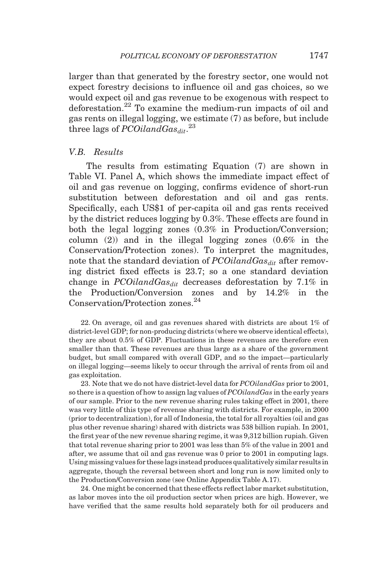larger than that generated by the forestry sector, one would not expect forestry decisions to influence oil and gas choices, so we would expect oil and gas revenue to be exogenous with respect to deforestation.<sup>22</sup> To examine the medium-run impacts of oil and gas rents on illegal logging, we estimate (7) as before, but include three lags of  $PCOilandGas_{dit}$ .<sup>23</sup>

#### V.B. Results

The results from estimating [Equation \(7\)](#page-39-0) are shown in [Table VI](#page-41-0). Panel A, which shows the immediate impact effect of oil and gas revenue on logging, confirms evidence of short-run substitution between deforestation and oil and gas rents. Specifically, each US\$1 of per-capita oil and gas rents received by the district reduces logging by 0.3%. These effects are found in both the legal logging zones (0.3% in Production/Conversion; column  $(2)$  and in the illegal logging zones  $(0.6\%$  in the Conservation/Protection zones). To interpret the magnitudes, note that the standard deviation of  $PCOilandGas_{dit}$  after removing district fixed effects is 23.7; so a one standard deviation change in  $PCOilandGas_{dit}$  decreases deforestation by 7.1% in the Production/Conversion zones and by 14.2% in the Conservation/Protection zones.<sup>24</sup>

22. On average, oil and gas revenues shared with districts are about 1% of district-level GDP; for non-producing districts (where we observe identical effects), they are about 0.5% of GDP. Fluctuations in these revenues are therefore even smaller than that. These revenues are thus large as a share of the government budget, but small compared with overall GDP, and so the impact—particularly on illegal logging—seems likely to occur through the arrival of rents from oil and gas exploitation.

23. Note that we do not have district-level data for PCOilandGas prior to 2001, so there is a question of how to assign lag values of PCOilandGas in the early years of our sample. Prior to the new revenue sharing rules taking effect in 2001, there was very little of this type of revenue sharing with districts. For example, in 2000 (prior to decentralization), for all of Indonesia, the total for all royalties (oil and gas plus other revenue sharing) shared with districts was 538 billion rupiah. In 2001, the first year of the new revenue sharing regime, it was 9,312 billion rupiah. Given that total revenue sharing prior to 2001 was less than 5% of the value in 2001 and after, we assume that oil and gas revenue was 0 prior to 2001 in computing lags. Using missingvalues for theselags instead produces qualitatively similar results in aggregate, though the reversal between short and long run is now limited only to the Production/Conversion zone (see [Online Appendix Table A.17\)](http://hwmaint.qje.oxfordjournals.org/cgi/content/full/qjs034/DC1).

24. One might be concerned that these effects reflect labor market substitution, as labor moves into the oil production sector when prices are high. However, we have verified that the same results hold separately both for oil producers and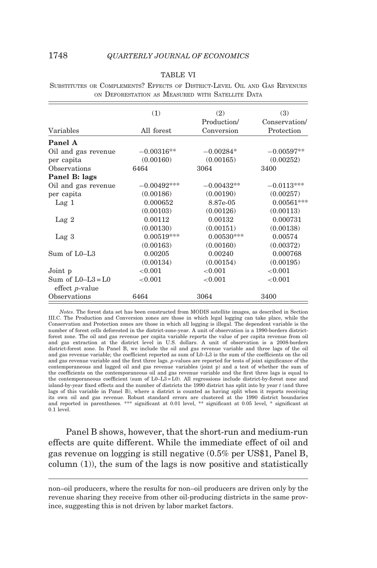#### TABLE VI

|                        | (1)           | (2)          | (3)           |
|------------------------|---------------|--------------|---------------|
|                        |               | Production/  | Conservation/ |
| Variables              | All forest    | Conversion   | Protection    |
| Panel A                |               |              |               |
| Oil and gas revenue    | $-0.00316**$  | $-0.00284*$  | $-0.00597**$  |
| per capita             | (0.00160)     | (0.00165)    | (0.00252)     |
| Observations           | 6464          | 3064         | 3400          |
| Panel B: lags          |               |              |               |
| Oil and gas revenue    | $-0.00492***$ | $-0.00432**$ | $-0.0113***$  |
| per capita             | (0.00186)     | (0.00190)    | (0.00257)     |
| Lag <sub>1</sub>       | 0.000652      | 8.87e-05     | $0.00561***$  |
|                        | (0.00103)     | (0.00126)    | (0.00113)     |
| $\text{Lag} 2$         | 0.00112       | 0.00132      | 0.000731      |
|                        | (0.00130)     | (0.00151)    | (0.00138)     |
| $\text{Lag}~3$         | $0.00519***$  | $0.00530***$ | 0.00574       |
|                        | (0.00163)     | (0.00160)    | (0.00372)     |
| Sum of L0-L3           | 0.00205       | 0.00240      | 0.000768      |
|                        | (0.00134)     | (0.00154)    | (0.00195)     |
| Joint p                | ${<}0.001$    | ${<}0.001$   | ${<}0.001$    |
| Sum of $L0-L3 = L0$    | ${<}0.001$    | ${<}0.001$   | ${<}0.001$    |
| effect <i>p</i> -value |               |              |               |
| Observations           | 6464          | 3064         | 3400          |

<span id="page-41-0"></span>SUBSTITUTES OR COMPLEMENTS? EFFECTS OF DISTRICT-LEVEL OIL AND GAS REVENUES ON DEFORESTATION AS MEASURED WITH SATELLITE DATA

Notes. The forest data set has been constructed from MODIS satellite images, as described in Section III.C. The Production and Conversion zones are those in which legal logging can take place, while the Conservation and Protection zones are those in which all logging is illegal. The dependent variable is the number of forest cells deforested in the district-zone-year. A unit of observation is a 1990-borders districtforest zone. The oil and gas revenue per capita variable reports the value of per capita revenue from oil and gas extraction at the district level in U.S. dollars. A unit of observation is a 2008-borders district-forest zone. In Panel B, we include the oil and gas revenue variable and three lags of the oil and gas revenue variable; the coefficient reported as sum of L0–L3 is the sum of the coefficients on the oil and gas revenue variable and the first three lags. p-values are reported for tests of joint significance of the contemporaneous and lagged oil and gas revenue variables (joint p) and a test of whether the sum of the coefficients on the contemporaneous oil and gas revenue variable and the first three lags is equal to the contemporaneous coefficient (sum of L0–L3 = L0). All regressions include district-by-forest zone and island-by-year fixed effects and the number of districts the 1990 district has split into by year  $t$  (and three lags of this variable in Panel B), where a district is counted as having split when it reports receiving its own oil and gas revenue. Robust standard errors are clustered at the 1990 district boundaries and reported in parentheses. \*\*\* significant at 0.01 level, \*\* significant at 0.05 level, \* significant at 0.1 level.

Panel B shows, however, that the short-run and medium-run effects are quite different. While the immediate effect of oil and gas revenue on logging is still negative (0.5% per US\$1, Panel B, column  $(1)$ , the sum of the lags is now positive and statistically

non–oil producers, where the results for non–oil producers are driven only by the revenue sharing they receive from other oil-producing districts in the same province, suggesting this is not driven by labor market factors.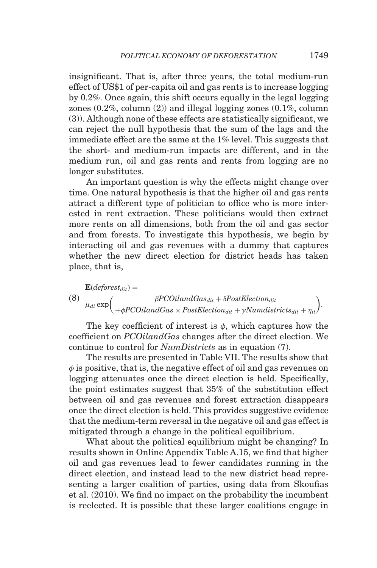insignificant. That is, after three years, the total medium-run effect of US\$1 of per-capita oil and gas rents is to increase logging by 0.2%. Once again, this shift occurs equally in the legal logging zones (0.2%, column (2)) and illegal logging zones (0.1%, column (3)). Although none of these effects are statistically significant, we can reject the null hypothesis that the sum of the lags and the immediate effect are the same at the 1% level. This suggests that the short- and medium-run impacts are different, and in the medium run, oil and gas rents and rents from logging are no longer substitutes.

An important question is why the effects might change over time. One natural hypothesis is that the higher oil and gas rents attract a different type of politician to office who is more interested in rent extraction. These politicians would then extract more rents on all dimensions, both from the oil and gas sector and from forests. To investigate this hypothesis, we begin by interacting oil and gas revenues with a dummy that captures whether the new direct election for district heads has taken place, that is,

$$
\mathbf{E}(deforest_{dit}) =
$$
\n(8) 
$$
\mu_{di} \exp\left(\frac{\beta PCOilandGas_{dit} + \delta PostElectronic_{dit}}{\beta PCOilandGas \times PostElectronic_{dit} + \gamma Numdistricts_{dit} + \eta_{it}}\right).
$$

The key coefficient of interest is  $\phi$ , which captures how the coefficient on PCOilandGas changes after the direct election. We continue to control for NumDistricts as in [equation \(7\).](#page-39-0)

The results are presented in [Table VII.](#page-43-0) The results show that  $\phi$  is positive, that is, the negative effect of oil and gas revenues on logging attenuates once the direct election is held. Specifically, the point estimates suggest that 35% of the substitution effect between oil and gas revenues and forest extraction disappears once the direct election is held. This provides suggestive evidence that the medium-term reversal in the negative oil and gas effect is mitigated through a change in the political equilibrium.

What about the political equilibrium might be changing? In results shown in [Online Appendix Table A.15,](http://hwmaint.qje.oxfordjournals.org/cgi/content/full/qjs034/DC1) we find that higher oil and gas revenues lead to fewer candidates running in the direct election, and instead lead to the new district head representing a larger coalition of parties, using data from [Skoufias](#page-47-0) [et al. \(2010\).](#page-47-0) We find no impact on the probability the incumbent is reelected. It is possible that these larger coalitions engage in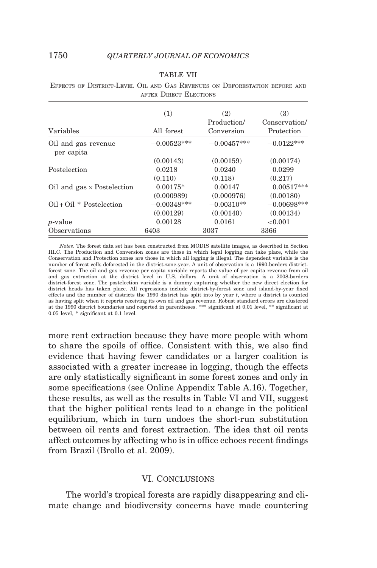#### TABLE VII

<span id="page-43-0"></span>EFFECTS OF DISTRICT-LEVEL OIL AND GAS REVENUES ON DEFORESTATION BEFORE AND AFTER DIRECT ELECTIONS

| Variables                         | (1)<br>All forest | (2)<br>Production/<br>Conversion | (3)<br>Conservation/<br>Protection |
|-----------------------------------|-------------------|----------------------------------|------------------------------------|
| Oil and gas revenue<br>per capita | $-0.00523***$     | $-0.00457***$                    | $-0.0122***$                       |
|                                   | (0.00143)         | (0.00159)                        | (0.00174)                          |
| Postelection                      | 0.0218            | 0.0240                           | 0.0299                             |
|                                   | (0.110)           | (0.118)                          | (0.217)                            |
| Oil and $gas \times Postelectron$ | $0.00175*$        | 0.00147                          | $0.00517***$                       |
|                                   | (0.000989)        | (0.000976)                       | (0.00180)                          |
| $Oil + Oil * Postelectron$        | $-0.00348***$     | $-0.00310**$                     | $-0.00698***$                      |
|                                   | (0.00129)         | (0.00140)                        | (0.00134)                          |
| <i>p</i> -value                   | 0.00128           | 0.0161                           | ${<}0.001$                         |
| Observations                      | 6403              | 3037                             | 3366                               |

Notes. The forest data set has been constructed from MODIS satellite images, as described in Section III.C. The Production and Conversion zones are those in which legal logging can take place, while the Conservation and Protection zones are those in which all logging is illegal. The dependent variable is the number of forest cells deforested in the district-zone-year. A unit of observation is a 1990-borders districtforest zone. The oil and gas revenue per capita variable reports the value of per capita revenue from oil and gas extraction at the district level in U.S. dollars. A unit of observation is a 2008-borders district-forest zone. The postelection variable is a dummy capturing whether the new direct election for district heads has taken place. All regressions include district-by-forest zone and island-by-year fixed effects and the number of districts the 1990 district has split into by year t, where a district is counted as having split when it reports receiving its own oil and gas revenue. Robust standard errors are clustered at the 1990 district boundaries and reported in parentheses. \*\*\* significant at 0.01 level, \*\* significant at 0.05 level, \* significant at 0.1 level.

more rent extraction because they have more people with whom to share the spoils of office. Consistent with this, we also find evidence that having fewer candidates or a larger coalition is associated with a greater increase in logging, though the effects are only statistically significant in some forest zones and only in some specifications (see [Online Appendix Table A.16\)](http://hwmaint.qje.oxfordjournals.org/cgi/content/full/qjs034/DC1). Together, these results, as well as the results in [Table VI](#page-41-0) and VII, suggest that the higher political rents lead to a change in the political equilibrium, which in turn undoes the short-run substitution between oil rents and forest extraction. The idea that oil rents affect outcomes by affecting who is in office echoes recent findings from Brazil [\(Brollo et al. 2009](#page-46-0)).

#### VI. Conclusions

The world's tropical forests are rapidly disappearing and climate change and biodiversity concerns have made countering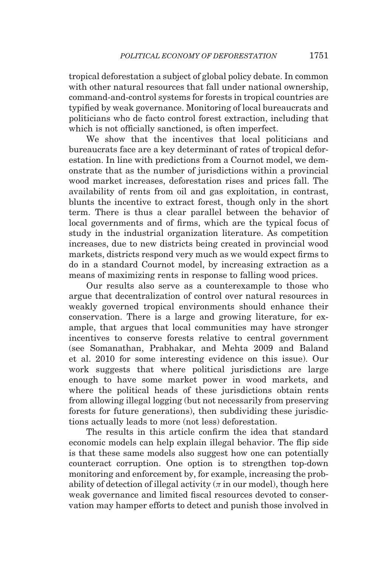tropical deforestation a subject of global policy debate. In common with other natural resources that fall under national ownership, command-and-control systems for forests in tropical countries are typified by weak governance. Monitoring of local bureaucrats and politicians who de facto control forest extraction, including that which is not officially sanctioned, is often imperfect.

We show that the incentives that local politicians and bureaucrats face are a key determinant of rates of tropical deforestation. In line with predictions from a Cournot model, we demonstrate that as the number of jurisdictions within a provincial wood market increases, deforestation rises and prices fall. The availability of rents from oil and gas exploitation, in contrast, blunts the incentive to extract forest, though only in the short term. There is thus a clear parallel between the behavior of local governments and of firms, which are the typical focus of study in the industrial organization literature. As competition increases, due to new districts being created in provincial wood markets, districts respond very much as we would expect firms to do in a standard Cournot model, by increasing extraction as a means of maximizing rents in response to falling wood prices.

Our results also serve as a counterexample to those who argue that decentralization of control over natural resources in weakly governed tropical environments should enhance their conservation. There is a large and growing literature, for example, that argues that local communities may have stronger incentives to conserve forests relative to central government (see [Somanathan, Prabhakar, and Mehta 2009](#page-47-0) and [Baland](#page-45-0) [et al. 2010](#page-45-0) for some interesting evidence on this issue). Our work suggests that where political jurisdictions are large enough to have some market power in wood markets, and where the political heads of these jurisdictions obtain rents from allowing illegal logging (but not necessarily from preserving forests for future generations), then subdividing these jurisdictions actually leads to more (not less) deforestation.

The results in this article confirm the idea that standard economic models can help explain illegal behavior. The flip side is that these same models also suggest how one can potentially counteract corruption. One option is to strengthen top-down monitoring and enforcement by, for example, increasing the probability of detection of illegal activity ( $\pi$  in our model), though here weak governance and limited fiscal resources devoted to conservation may hamper efforts to detect and punish those involved in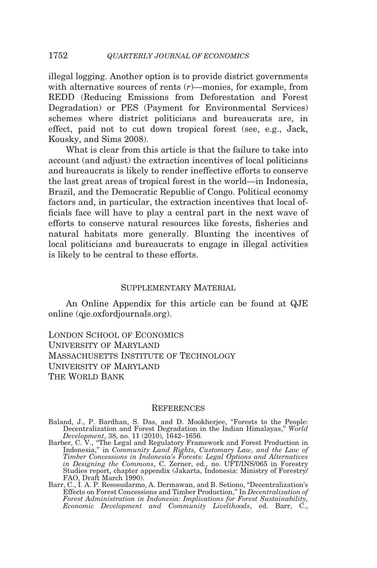<span id="page-45-0"></span>illegal logging. Another option is to provide district governments with alternative sources of rents  $(r)$ —monies, for example, from REDD (Reducing Emissions from Deforestation and Forest Degradation) or PES (Payment for Environmental Services) schemes where district politicians and bureaucrats are, in effect, paid not to cut down tropical forest (see, e.g., [Jack,](#page-46-0) [Kousky, and Sims 2008\)](#page-46-0).

What is clear from this article is that the failure to take into account (and adjust) the extraction incentives of local politicians and bureaucrats is likely to render ineffective efforts to conserve the last great areas of tropical forest in the world—in Indonesia, Brazil, and the Democratic Republic of Congo. Political economy factors and, in particular, the extraction incentives that local officials face will have to play a central part in the next wave of efforts to conserve natural resources like forests, fisheries and natural habitats more generally. Blunting the incentives of local politicians and bureaucrats to engage in illegal activities is likely to be central to these efforts.

### Supplementary Material

An [Online Appendix](http://hwmaint.qje.oxfordjournals.org/cgi/content/full/qjs034/DC1) for this article can be found at QJE online (qje.oxfordjournals.org).

London School of Economics University of Maryland Massachusetts Institute of Technology University of Maryland THE WORLD BANK

#### **REFERENCES**

- Baland, J., P. Bardhan, S. Das, and D. Mookherjee, "Forests to the People: Decentralization and Forest Degradation in the Indian Himalayas," World
- Development, 38, no. 11 (2010), 1642–1656. Barber, C. V., ''The Legal and Regulatory Framework and Forest Production in Indonesia,'' in Community Land Rights, Customary Law, and the Law of Timber Concessions in Indonesia's Forests: Legal Options and Alternatives in Designing the Commons, C. Zerner, ed., no. UFT/INS/065 in Forestry Studies report, chapter appendix (Jakarta, Indonesia: Ministry of Forestry/ FAO, Draft March 1990).
- Barr, C., I. A. P. Resosudarmo, A. Dermawan, and B. Setiono, "Decentralization's Effects on Forest Concessions and Timber Production," In *Decentralization of* Forest Administration in Indonesia: Implications for Forest Sustainability, Economic Development and Community Livelihoods, ed. Barr, C.,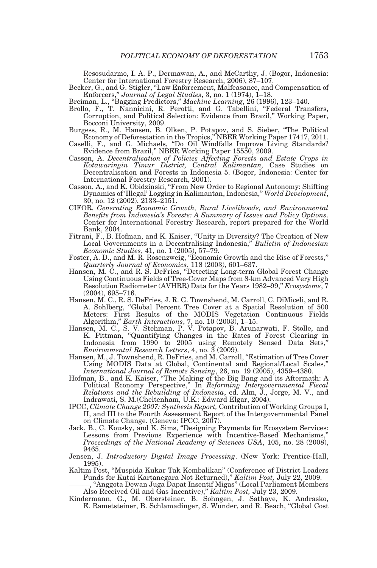<span id="page-46-0"></span>Resosudarmo, I. A. P., Dermawan, A., and McCarthy, J. (Bogor, Indonesia: Center for International Forestry Research, 2006), 87–107.

Becker, G., and G. Stigler, ''Law Enforcement, Malfeasance, and Compensation of

- Enforcers," Journal of Legal Studies, 3, no. 1 (1974), 1–18.<br>Breiman, L., "Bagging Predictors," Machine Learning, 26 (1996), 123–140.<br>Brollo, F., T. Nannicini, R. Perotti, and G. Tabellini, "Federal Transfers, Corruption, and Political Selection: Evidence from Brazil,'' Working Paper, Bocconi University, 2009.
- Burgess, R., M. Hansen, B. Olken, P. Potapov, and S. Sieber, ''The Political Economy of Deforestation in the Tropics,'' NBER Working Paper 17417, 2011.
- Caselli, F., and G. Michaels, ''Do Oil Windfalls Improve Living Standards? Evidence from Brazil,'' NBER Working Paper 15550, 2009.
- Casson, A. Decentralisation of Policies Affecting Forests and Estate Crops in Kotawaringin Timur District, Central Kalimantan, Case Studies on Decentralisation and Forests in Indonesia 5. (Bogor, Indonesia: Center for International Forestry Research, 2001).
- Casson, A., and K. Obidzinski, ''From New Order to Regional Autonomy: Shifting Dynamics of 'Illegal' Logging in Kalimantan, Indonesia,'' World Development, 30, no. 12 (2002), 2133–2151.
- CIFOR, Generating Economic Growth, Rural Livelihoods, and Environmental Benefits from Indonesia's Forests: A Summary of Issues and Policy Options. Center for International Forestry Research, report prepared for the World Bank, 2004.
- Fitrani, F., B. Hofman, and K. Kaiser, ''Unity in Diversity? The Creation of New Local Governments in a Decentralising Indonesia,'' Bulletin of Indonesian
- Economic Studies, 41, no. 1 (2005), 57–79. Foster, A. D., and M. R. Rosenzweig, ''Economic Growth and the Rise of Forests,'' Quarterly Journal of Economics, 118 (2003), 601–637.
- Hansen, M. C., and R. S. DeFries, "Detecting Long-term Global Forest Change Using Continuous Fields of Tree-Cover Maps from 8-km Advanced Very High Resolution Radiometer (AVHRR) Data for the Years 1982–99,'' Ecosystems, 7 (2004), 695–716.
- Hansen, M. C., R. S. DeFries, J. R. G. Townshend, M. Carroll, C. DiMiceli, and R. A. Sohlberg, ''Global Percent Tree Cover at a Spatial Resolution of 500 Meters: First Results of the MODIS Vegetation Continuous Fields
- Algorithm," *Earth Interactions*, 7, no. 10 (2003), 1–15.<br>Hansen, M. C., S. V. Stehman, P. V. Potapov, B. Arunarwati, F. Stolle, and K. Pittman, ''Quantifying Changes in the Rates of Forest Clearing in Indonesia from 1990 to 2005 using Remotely Sensed Data Sets,'' Environmental Research Letters, 4, no.  $\frac{3}{2}(2009)$ .
- Hansen, M., J. Townshend, R. DeFries, and M. Carroll, "Estimation of Tree Cover Using MODIS Data at Global, Continental and Regional/Local Scales,''
- International Journal of Remote Sensing, 26, no. 19 (2005), 4359–4380. Hofman, B., and K. Kaiser, ''The Making of the Big Bang and its Aftermath: A Political Economy Perspective," In Reforming Intergovernmental Fiscal Relations and the Rebuilding of Indonesia, ed. Alm, J., Jorge, M. V., and Indrawati, S. M.(Cheltenham, U.K.: Edward Elgar, 2004).
- IPCC, Climate Change 2007: Synthesis Report, Contribution of Working Groups I, II, and III to the Fourth Assessment Report of the Intergovernmental Panel on Climate Change. (Geneva: IPCC, 2007).
- Jack, B., C. Kousky, and K. Sims, ''Designing Payments for Ecosystem Services: Lessons from Previous Experience with Incentive-Based Mechanisms,'' Proceedings of the National Academy of Sciences USA, 105, no. 28 (2008), 9465.
- Jensen, J. Introductory Digital Image Processing. (New York: Prentice-Hall, 1995).

Kaltim Post, ''Muspida Kukar Tak Kembalikan'' (Conference of District Leaders Funds for Kutai Kartanegara Not Returned),'' Kaltim Post, July 22, 2009. ———, ''Anggota Dewan Juga Dapat Insentif Migas'' (Local Parliament Members

Also Received Oil and Gas Incentive),'' Kaltim Post, July 23, 2009. Kindermann, G., M. Obersteiner, B. Sohngen, J. Sathaye, K. Andrasko,

E. Rametsteiner, B. Schlamadinger, S. Wunder, and R. Beach, ''Global Cost